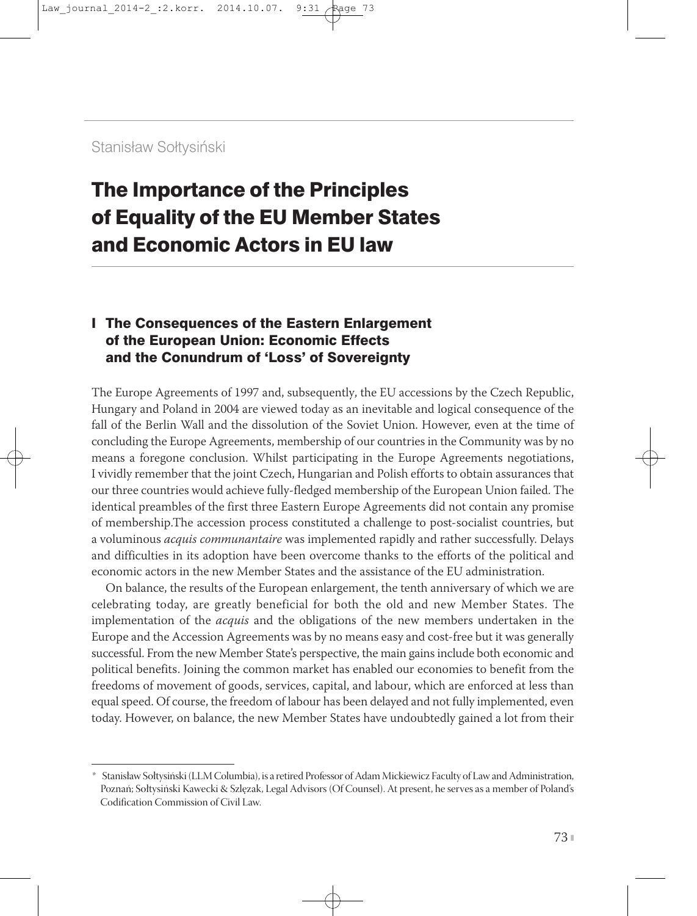#### Stanisław Sołtysiński

# The Importance of the Principles of Equality of the EU Member States and Economic Actors in EU law

## I The Consequences of the Eastern Enlargement of the European Union: Economic Effects and the Conundrum of 'Loss' of Sovereignty

The Europe Agreements of 1997 and, subsequently, the EU accessions by the Czech Republic, Hungary and Poland in 2004 are viewed today as an inevitable and logical consequence of the fall of the Berlin Wall and the dissolution of the Soviet Union. However, even at the time of concluding the Europe Agreements, membership of our countries in the Community was by no means a foregone conclusion. Whilst participating in the Europe Agreements negotiations, I vividly remember that the joint Czech, Hungarian and Polish efforts to obtain assurances that our three countries would achieve fully-fledged membership of the European Union failed. The identical preambles of the first three Eastern Europe Agreements did not contain any promise of membership.The accession process constituted a challenge to post-socialist countries, but a voluminous *acquis communantaire* was implemented rapidly and rather successfully. Delays and difficulties in its adoption have been overcome thanks to the efforts of the political and economic actors in the new Member States and the assistance of the EU administration.

On balance, the results of the European enlargement, the tenth anniversary of which we are celebrating today, are greatly beneficial for both the old and new Member States. The implementation of the *acquis* and the obligations of the new members undertaken in the Europe and the Accession Agreements was by no means easy and cost-free but it was generally successful. From the new Member State's perspective, the main gains include both economic and political benefits. Joining the common market has enabled our economies to benefit from the freedoms of movement of goods, services, capital, and labour, which are enforced at less than equal speed. Of course, the freedom of labour has been delayed and not fully implemented, even today. However, on balance, the new Member States have undoubtedly gained a lot from their

*<sup>\*</sup>* Stanisław Sołtysiński (LLM Columbia), is a retired Professor of Adam Mickiewicz Faculty of Law and Administration, Poznań; Sołtysiński Kawecki & Szlęzak, Legal Advisors (Of Counsel). At present, he serves as a member of Poland's Codification Commission of Civil Law.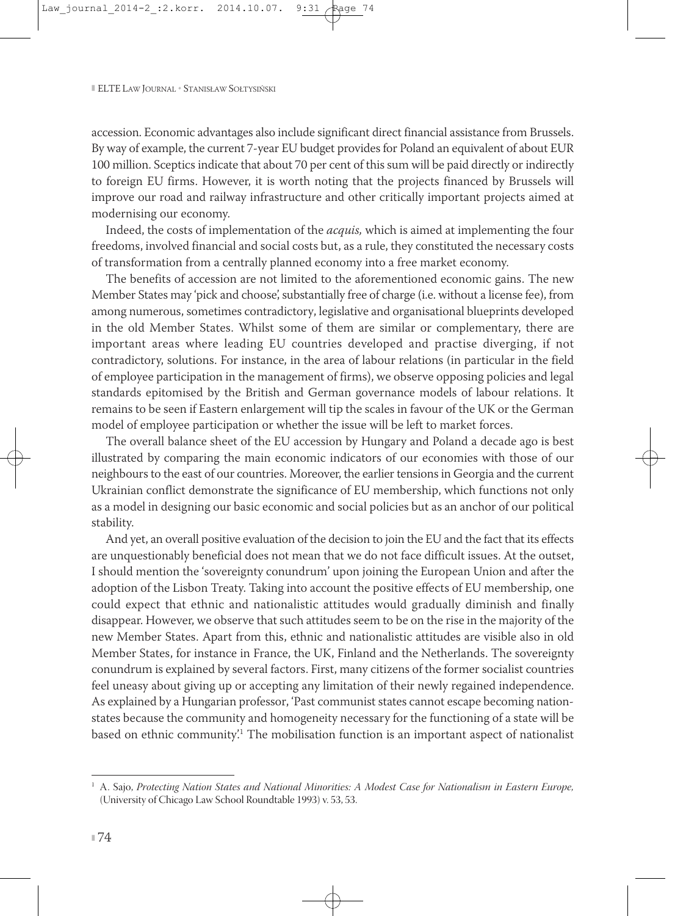accession. Economic advantages also include significant direct financial assistance from Brussels. By way of example, the current 7-year EU budget provides for Poland an equivalent of about EUR 100 million. Sceptics indicate that about 70 per cent of this sum will be paid directly or indirectly to foreign EU firms. However, it is worth noting that the projects financed by Brussels will improve our road and railway infrastructure and other critically important projects aimed at modernising our economy.

Indeed, the costs of implementation of the *acquis,* which is aimed at implementing the four freedoms, involved financial and social costs but, as a rule, they constituted the necessary costs of transformation from a centrally planned economy into a free market economy.

The benefits of accession are not limited to the aforementioned economic gains. The new Member States may 'pick and choose', substantially free of charge (i.e. without a license fee), from among numerous, sometimes contradictory, legislative and organisational blueprints developed in the old Member States. Whilst some of them are similar or complementary, there are important areas where leading EU countries developed and practise diverging, if not contradictory, solutions. For instance, in the area of labour relations (in particular in the field of employee participation in the management of firms), we observe opposing policies and legal standards epitomised by the British and German governance models of labour relations. It remains to be seen if Eastern enlargement will tip the scales in favour of the UK or the German model of employee participation or whether the issue will be left to market forces.

The overall balance sheet of the EU accession by Hungary and Poland a decade ago is best illustrated by comparing the main economic indicators of our economies with those of our neighbours to the east of our countries. Moreover, the earlier tensions in Georgia and the current Ukrainian conflict demonstrate the significance of EU membership, which functions not only as a model in designing our basic economic and social policies but as an anchor of our political stability.

And yet, an overall positive evaluation of the decision to join the EU and the fact that its effects are unquestionably beneficial does not mean that we do not face difficult issues. At the outset, I should mention the 'sovereignty conundrum' upon joining the European Union and after the adoption of the Lisbon Treaty. Taking into account the positive effects of EU membership, one could expect that ethnic and nationalistic attitudes would gradually diminish and finally disappear. However, we observe that such attitudes seem to be on the rise in the majority of the new Member States. Apart from this, ethnic and nationalistic attitudes are visible also in old Member States, for instance in France, the UK, Finland and the Netherlands. The sovereignty conundrum is explained by several factors. First, many citizens of the former socialist countries feel uneasy about giving up or accepting any limitation of their newly regained independence. As explained by a Hungarian professor, 'Past communist states cannot escape becoming nationstates because the community and homogeneity necessary for the functioning of a state will be based on ethnic community.<sup>1</sup> The mobilisation function is an important aspect of nationalist

<sup>1</sup> A. Sajo, *Protecting Nation States and National Minorities: A Modest Case for Nationalism in Eastern Europe,* (University of Chicago Law School Roundtable 1993) v. 53, 53.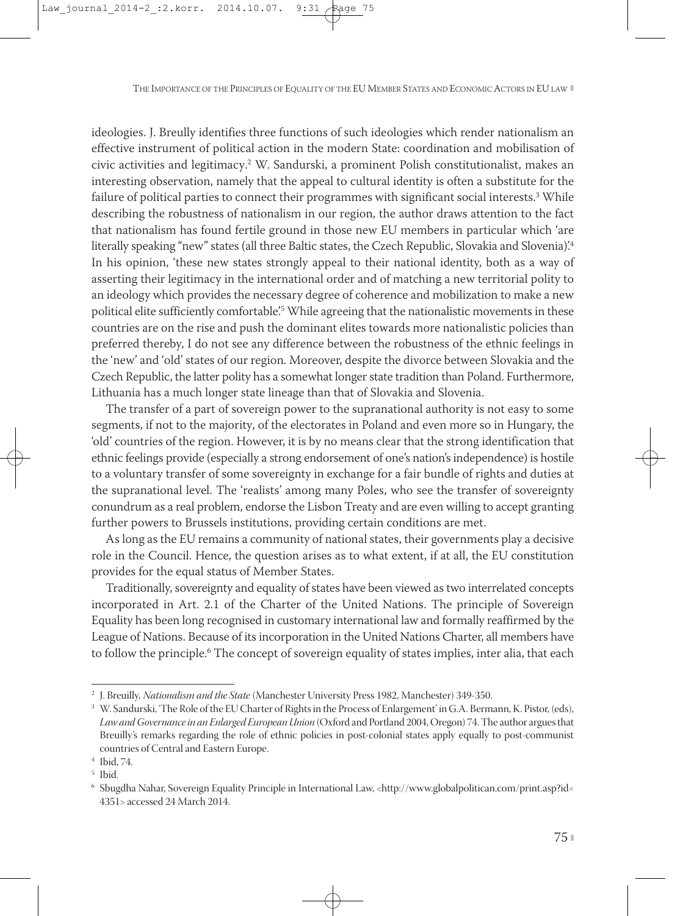ideologies. J. Breully identifies three functions of such ideologies which render nationalism an effective instrument of political action in the modern State: coordination and mobilisation of civic activities and legitimacy.2 W. Sandurski, a prominent Polish constitutionalist, makes an interesting observation, namely that the appeal to cultural identity is often a substitute for the failure of political parties to connect their programmes with significant social interests.<sup>3</sup> While describing the robustness of nationalism in our region, the author draws attention to the fact that nationalism has found fertile ground in those new EU members in particular which 'are literally speaking "new" states (all three Baltic states, the Czech Republic, Slovakia and Slovenia).<sup>4</sup> In his opinion, 'these new states strongly appeal to their national identity, both as a way of asserting their legitimacy in the international order and of matching a new territorial polity to an ideology which provides the necessary degree of coherence and mobilization to make a new political elite sufficiently comfortable'.<sup>5</sup> While agreeing that the nationalistic movements in these countries are on the rise and push the dominant elites towards more nationalistic policies than preferred thereby, I do not see any difference between the robustness of the ethnic feelings in the 'new' and 'old' states of our region. Moreover, despite the divorce between Slovakia and the Czech Republic, the latter polity has a somewhat longer state tradition than Poland. Furthermore, Lithuania has a much longer state lineage than that of Slovakia and Slovenia.

The transfer of a part of sovereign power to the supranational authority is not easy to some segments, if not to the majority, of the electorates in Poland and even more so in Hungary, the 'old' countries of the region. However, it is by no means clear that the strong identification that ethnic feelings provide (especially a strong endorsement of one's nation's independence) is hostile to a voluntary transfer of some sovereignty in exchange for a fair bundle of rights and duties at the supranational level. The 'realists' among many Poles, who see the transfer of sovereignty conundrum as a real problem, endorse the Lisbon Treaty and are even willing to accept granting further powers to Brussels institutions, providing certain conditions are met.

As long as the EU remains a community of national states, their governments play a decisive role in the Council. Hence, the question arises as to what extent, if at all, the EU constitution provides for the equal status of Member States.

Traditionally, sovereignty and equality of states have been viewed as two interrelated concepts incorporated in Art. 2.1 of the Charter of the United Nations. The principle of Sovereign Equality has been long recognised in customary international law and formally reaffirmed by the League of Nations. Because of its incorporation in the United Nations Charter, all members have to follow the principle.<sup>6</sup> The concept of sovereign equality of states implies, inter alia, that each

<sup>2</sup> J. Breuilly*, Nationalism and the State* (Manchester University Press 1982, Manchester) 349-350.

<sup>&</sup>lt;sup>3</sup> W. Sandurski, 'The Role of the EU Charter of Rights in the Process of Enlargement' in G.A. Bermann, K. Pistor, (eds), *Law and Governance in an Enlarged European Union* (Oxford and Portland 2004, Oregon) 74. The author argues that Breuilly's remarks regarding the role of ethnic policies in post-colonial states apply equally to post-communist countries of Central and Eastern Europe.

<sup>4</sup> Ibid, 74.

<sup>5</sup> Ibid.

<sup>6</sup> Sbugdha Nahar, Sovereign Equality Principle in International Law, <http://www.globalpolitican.com/print.asp?id= 4351> accessed 24 March 2014.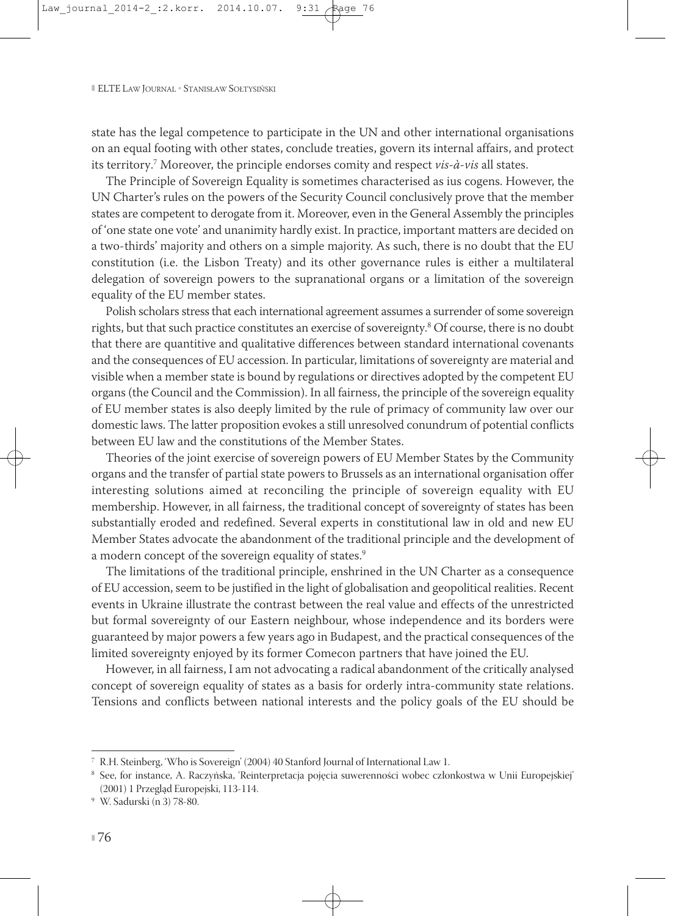state has the legal competence to participate in the UN and other international organisations on an equal footing with other states, conclude treaties, govern its internal affairs, and protect its territory.7 Moreover, the principle endorses comity and respect *vis-à-vis* all states.

The Principle of Sovereign Equality is sometimes characterised as ius cogens. However, the UN Charter's rules on the powers of the Security Council conclusively prove that the member states are competent to derogate from it. Moreover, even in the General Assembly the principles of 'one state one vote' and unanimity hardly exist. In practice, important matters are decided on a two-thirds' majority and others on a simple majority. As such, there is no doubt that the EU constitution (i.e. the Lisbon Treaty) and its other governance rules is either a multilateral delegation of sovereign powers to the supranational organs or a limitation of the sovereign equality of the EU member states.

Polish scholars stress that each international agreement assumes a surrender of some sovereign rights, but that such practice constitutes an exercise of sovereignty.<sup>8</sup> Of course, there is no doubt that there are quantitive and qualitative differences between standard international covenants and the consequences of EU accession. In particular, limitations of sovereignty are material and visible when a member state is bound by regulations or directives adopted by the competent EU organs (the Council and the Commission). In all fairness, the principle of the sovereign equality of EU member states is also deeply limited by the rule of primacy of community law over our domestic laws. The latter proposition evokes a still unresolved conundrum of potential conflicts between EU law and the constitutions of the Member States.

Theories of the joint exercise of sovereign powers of EU Member States by the Community organs and the transfer of partial state powers to Brussels as an international organisation offer interesting solutions aimed at reconciling the principle of sovereign equality with EU membership. However, in all fairness, the traditional concept of sovereignty of states has been substantially eroded and redefined. Several experts in constitutional law in old and new EU Member States advocate the abandonment of the traditional principle and the development of a modern concept of the sovereign equality of states.<sup>9</sup>

The limitations of the traditional principle, enshrined in the UN Charter as a consequence of EU accession, seem to be justified in the light of globalisation and geopolitical realities. Recent events in Ukraine illustrate the contrast between the real value and effects of the unrestricted but formal sovereignty of our Eastern neighbour, whose independence and its borders were guaranteed by major powers a few years ago in Budapest, and the practical consequences of the limited sovereignty enjoyed by its former Comecon partners that have joined the EU.

However, in all fairness, I am not advocating a radical abandonment of the critically analysed concept of sovereign equality of states as a basis for orderly intra-community state relations. Tensions and conflicts between national interests and the policy goals of the EU should be

<sup>7</sup> R.H. Steinberg, 'Who is Sovereign' (2004) 40 Stanford Journal of International Law 1.

<sup>8</sup> See, for instance, A. Raczyńska, 'Reinterpretacja pojęcia suwerenności wobec członkostwa w Unii Europejskiej' (2001) 1 Przegląd Europejski, 113-114.

<sup>9</sup> W. Sadurski (n 3) 78-80.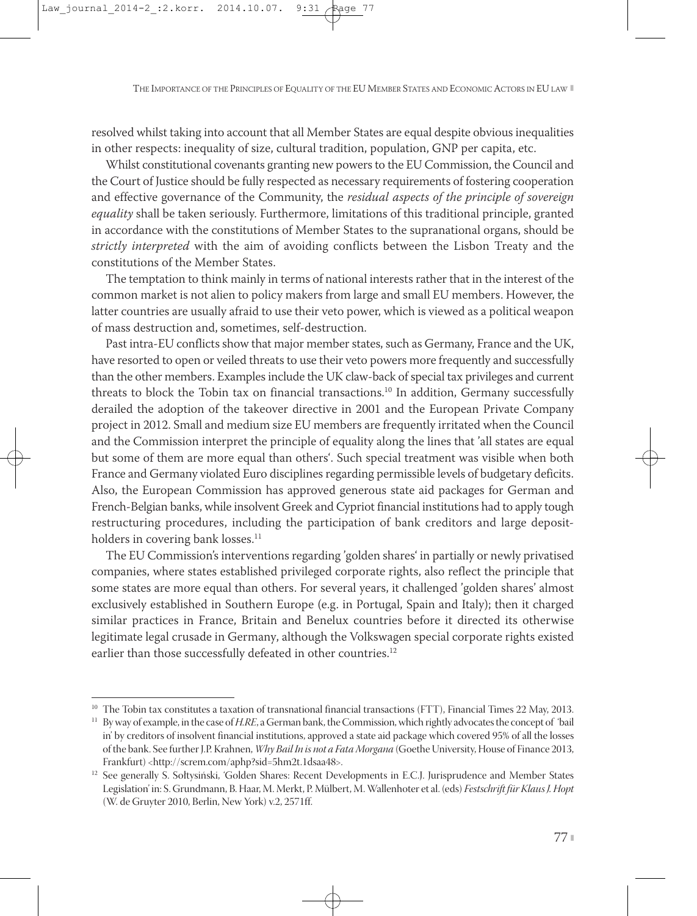resolved whilst taking into account that all Member States are equal despite obvious inequalities in other respects: inequality of size, cultural tradition, population, GNP per capita, etc.

Whilst constitutional covenants granting new powers to the EU Commission, the Council and the Court of Justice should be fully respected as necessary requirements of fostering cooperation and effective governance of the Community, the *residual aspects of the principle of sovereign equality* shall be taken seriously. Furthermore, limitations of this traditional principle, granted in accordance with the constitutions of Member States to the supranational organs, should be *strictly interpreted* with the aim of avoiding conflicts between the Lisbon Treaty and the constitutions of the Member States.

The temptation to think mainly in terms of national interests rather that in the interest of the common market is not alien to policy makers from large and small EU members. However, the latter countries are usually afraid to use their veto power, which is viewed as a political weapon of mass destruction and, sometimes, self-destruction.

Past intra-EU conflicts show that major member states, such as Germany, France and the UK, have resorted to open or veiled threats to use their veto powers more frequently and successfully than the other members. Examples include the UK claw-back of special tax privileges and current threats to block the Tobin tax on financial transactions.10 In addition, Germany successfully derailed the adoption of the takeover directive in 2001 and the European Private Company project in 2012. Small and medium size EU members are frequently irritated when the Council and the Commission interpret the principle of equality along the lines that 'all states are equal but some of them are more equal than others'. Such special treatment was visible when both France and Germany violated Euro disciplines regarding permissible levels of budgetary deficits. Also, the European Commission has approved generous state aid packages for German and French-Belgian banks, while insolvent Greek and Cypriot financial institutions had to apply tough restructuring procedures, including the participation of bank creditors and large depositholders in covering bank losses.<sup>11</sup>

The EU Commission's interventions regarding 'golden shares' in partially or newly privatised companies, where states established privileged corporate rights, also reflect the principle that some states are more equal than others. For several years, it challenged 'golden shares' almost exclusively established in Southern Europe (e.g. in Portugal, Spain and Italy); then it charged similar practices in France, Britain and Benelux countries before it directed its otherwise legitimate legal crusade in Germany, although the Volkswagen special corporate rights existed earlier than those successfully defeated in other countries.<sup>12</sup>

 $10$  The Tobin tax constitutes a taxation of transnational financial transactions (FTT), Financial Times 22 May, 2013.

<sup>&</sup>lt;sup>11</sup> By way of example, in the case of *H.RE*, a German bank, the Commission, which rightly advocates the concept of 'bail in' by creditors of insolvent financial institutions, approved a state aid package which covered 95% of all the losses of the bank. See further J.P. Krahnen, *Why Bail In is not a Fata Morgana* (Goethe University, House of Finance 2013, Frankfurt) <http://screm.com/aphp?sid=5hm2t.1dsaa48>.

<sup>&</sup>lt;sup>12</sup> See generally S. Sołtysiński, 'Golden Shares: Recent Developments in E.C.J. Jurisprudence and Member States Legislation' in: S. Grundmann, B. Haar, M. Merkt, P. Mülbert, M. Wallenhoter et al. (eds) *Festschrift für Klaus J. Hopt* (W. de Gruyter 2010, Berlin, New York) v.2, 2571ff.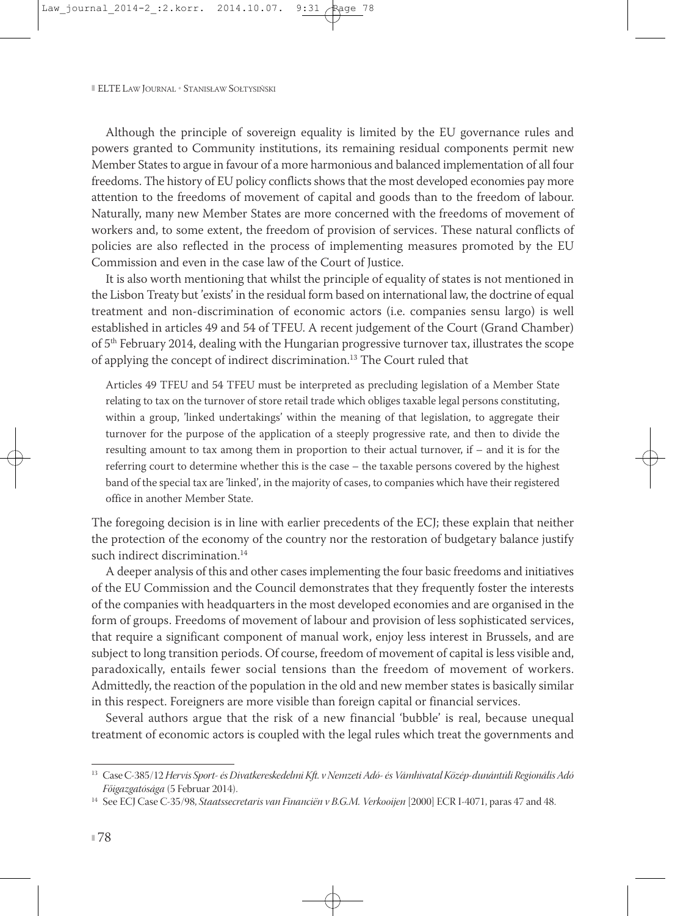Although the principle of sovereign equality is limited by the EU governance rules and powers granted to Community institutions, its remaining residual components permit new Member States to argue in favour of a more harmonious and balanced implementation of all four freedoms. The history of EU policy conflicts shows that the most developed economies pay more attention to the freedoms of movement of capital and goods than to the freedom of labour. Naturally, many new Member States are more concerned with the freedoms of movement of workers and, to some extent, the freedom of provision of services. These natural conflicts of policies are also reflected in the process of implementing measures promoted by the EU Commission and even in the case law of the Court of Justice.

It is also worth mentioning that whilst the principle of equality of states is not mentioned in the Lisbon Treaty but 'exists' in the residual form based on international law, the doctrine of equal treatment and non-discrimination of economic actors (i.e. companies sensu largo) is well established in articles 49 and 54 of TFEU. A recent judgement of the Court (Grand Chamber) of 5th February 2014, dealing with the Hungarian progressive turnover tax, illustrates the scope of applying the concept of indirect discrimination.13 The Court ruled that

Articles 49 TFEU and 54 TFEU must be interpreted as precluding legislation of a Member State relating to tax on the turnover of store retail trade which obliges taxable legal persons constituting, within a group, 'linked undertakings' within the meaning of that legislation, to aggregate their turnover for the purpose of the application of a steeply progressive rate, and then to divide the resulting amount to tax among them in proportion to their actual turnover, if – and it is for the referring court to determine whether this is the case – the taxable persons covered by the highest band of the special tax are 'linked', in the majority of cases, to companies which have their registered office in another Member State.

The foregoing decision is in line with earlier precedents of the ECJ; these explain that neither the protection of the economy of the country nor the restoration of budgetary balance justify such indirect discrimination.<sup>14</sup>

A deeper analysis of this and other cases implementing the four basic freedoms and initiatives of the EU Commission and the Council demonstrates that they frequently foster the interests of the companies with headquarters in the most developed economies and are organised in the form of groups. Freedoms of movement of labour and provision of less sophisticated services, that require a significant component of manual work, enjoy less interest in Brussels, and are subject to long transition periods. Of course, freedom of movement of capital is less visible and, paradoxically, entails fewer social tensions than the freedom of movement of workers. Admittedly, the reaction of the population in the old and new member states is basically similar in this respect. Foreigners are more visible than foreign capital or financial services.

Several authors argue that the risk of a new financial 'bubble' is real, because unequal treatment of economic actors is coupled with the legal rules which treat the governments and

<sup>13</sup> Case C-385/12 *Hervis Sport- és Divatkereskedelmi Kft. v Nemzeti Adó- és Vámhivatal Közép-dunántúli Regionális Adó Főigazgatósága* (5 Februar 2014).

<sup>&</sup>lt;sup>14</sup> See ECJ Case C-35/98, *Staatssecretaris van Financiën v B.G.M. Verkooijen* [2000] ECR I-4071, paras 47 and 48.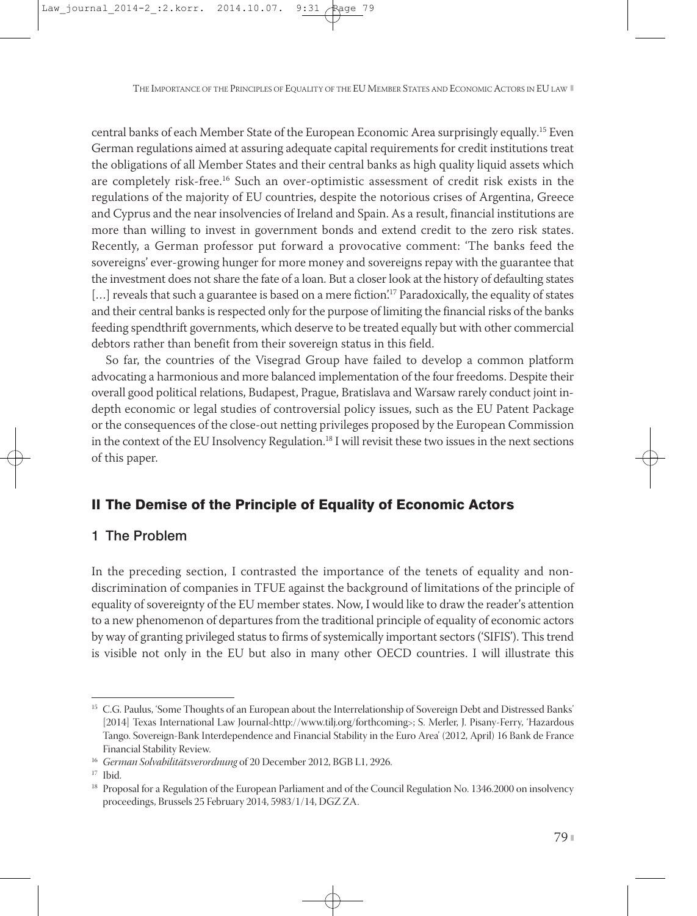central banks of each Member State of the European Economic Area surprisingly equally.15 Even German regulations aimed at assuring adequate capital requirements for credit institutions treat the obligations of all Member States and their central banks as high quality liquid assets which are completely risk-free.16 Such an over-optimistic assessment of credit risk exists in the regulations of the majority of EU countries, despite the notorious crises of Argentina, Greece and Cyprus and the near insolvencies of Ireland and Spain. As a result, financial institutions are more than willing to invest in government bonds and extend credit to the zero risk states. Recently, a German professor put forward a provocative comment: 'The banks feed the sovereigns' ever-growing hunger for more money and sovereigns repay with the guarantee that the investment does not share the fate of a loan. But a closer look at the history of defaulting states [...] reveals that such a guarantee is based on a mere fiction.<sup>'17</sup> Paradoxically, the equality of states and their central banks is respected only for the purpose of limiting the financial risks of the banks feeding spendthrift governments, which deserve to be treated equally but with other commercial debtors rather than benefit from their sovereign status in this field.

So far, the countries of the Visegrad Group have failed to develop a common platform advocating a harmonious and more balanced implementation of the four freedoms. Despite their overall good political relations, Budapest, Prague, Bratislava and Warsaw rarely conduct joint indepth economic or legal studies of controversial policy issues, such as the EU Patent Package or the consequences of the close-out netting privileges proposed by the European Commission in the context of the EU Insolvency Regulation.18 I will revisit these two issues in the next sections of this paper.

# II The Demise of the Principle of Equality of Economic Actors

## 1 The Problem

In the preceding section, I contrasted the importance of the tenets of equality and nondiscrimination of companies in TFUE against the background of limitations of the principle of equality of sovereignty of the EU member states. Now, I would like to draw the reader's attention to a new phenomenon of departures from the traditional principle of equality of economic actors by way of granting privileged status to firms of systemically important sectors ('SIFIS'). This trend is visible not only in the EU but also in many other OECD countries. I will illustrate this

<sup>&</sup>lt;sup>15</sup> C.G. Paulus, 'Some Thoughts of an European about the Interrelationship of Sovereign Debt and Distressed Banks' [2014] Texas International Law Journal<http://www.tilj.org/forthcoming>; S. Merler, J. Pisany-Ferry, 'Hazardous Tango. Sovereign-Bank Interdependence and Financial Stability in the Euro Area' (2012, April) 16 Bank de France Financial Stability Review.

<sup>16</sup> *German Solvabilitätsverordnung* of 20 December 2012, BGB L1, 2926.

<sup>17</sup> Ibid.

<sup>&</sup>lt;sup>18</sup> Proposal for a Regulation of the European Parliament and of the Council Regulation No. 1346.2000 on insolvency proceedings, Brussels 25 February 2014, 5983/1/14, DGZ ZA.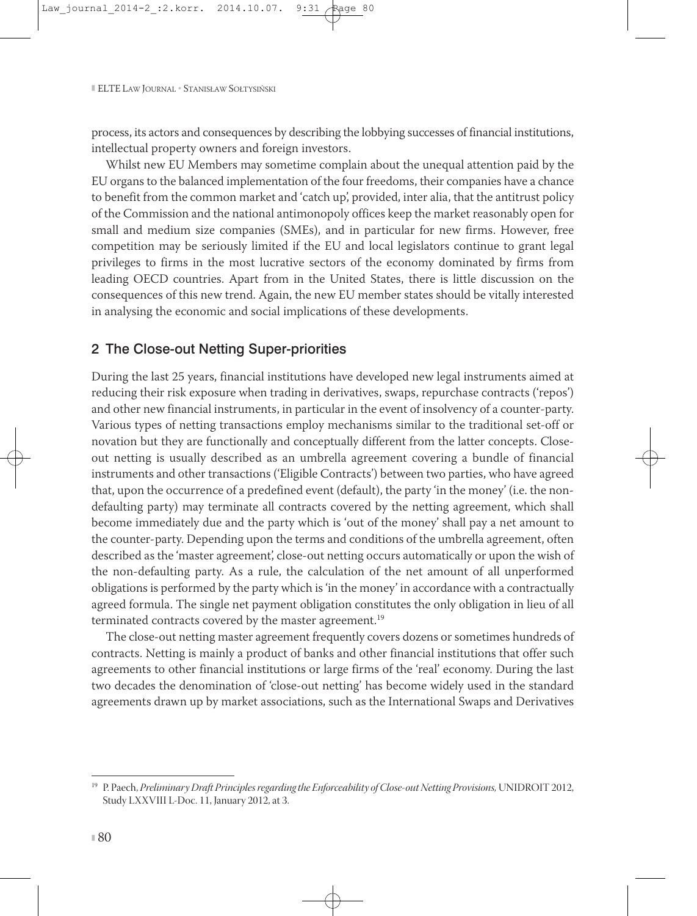process, its actors and consequences by describing the lobbying successes of financial institutions, intellectual property owners and foreign investors.

Whilst new EU Members may sometime complain about the unequal attention paid by the EU organs to the balanced implementation of the four freedoms, their companies have a chance to benefit from the common market and 'catch up', provided, inter alia, that the antitrust policy of the Commission and the national antimonopoly offices keep the market reasonably open for small and medium size companies (SMEs), and in particular for new firms. However, free competition may be seriously limited if the EU and local legislators continue to grant legal privileges to firms in the most lucrative sectors of the economy dominated by firms from leading OECD countries. Apart from in the United States, there is little discussion on the consequences of this new trend. Again, the new EU member states should be vitally interested in analysing the economic and social implications of these developments.

#### 2 The Close-out Netting Super-priorities

During the last 25 years, financial institutions have developed new legal instruments aimed at reducing their risk exposure when trading in derivatives, swaps, repurchase contracts ('repos') and other new financial instruments, in particular in the event of insolvency of a counter-party. Various types of netting transactions employ mechanisms similar to the traditional set-off or novation but they are functionally and conceptually different from the latter concepts. Closeout netting is usually described as an umbrella agreement covering a bundle of financial instruments and other transactions ('Eligible Contracts') between two parties, who have agreed that, upon the occurrence of a predefined event (default), the party 'in the money' (i.e. the nondefaulting party) may terminate all contracts covered by the netting agreement, which shall become immediately due and the party which is 'out of the money' shall pay a net amount to the counter-party. Depending upon the terms and conditions of the umbrella agreement, often described as the 'master agreement', close-out netting occurs automatically or upon the wish of the non-defaulting party. As a rule, the calculation of the net amount of all unperformed obligations is performed by the party which is 'in the money' in accordance with a contractually agreed formula. The single net payment obligation constitutes the only obligation in lieu of all terminated contracts covered by the master agreement.<sup>19</sup>

The close-out netting master agreement frequently covers dozens or sometimes hundreds of contracts. Netting is mainly a product of banks and other financial institutions that offer such agreements to other financial institutions or large firms of the 'real' economy. During the last two decades the denomination of 'close-out netting' has become widely used in the standard agreements drawn up by market associations, such as the International Swaps and Derivatives

<sup>19</sup> P. Paech, *Preliminary Draft Principles regarding the Enforceability of Close-out Netting Provisions,* UNIDROIT 2012, Study LXXVIII L-Doc. 11, January 2012, at 3.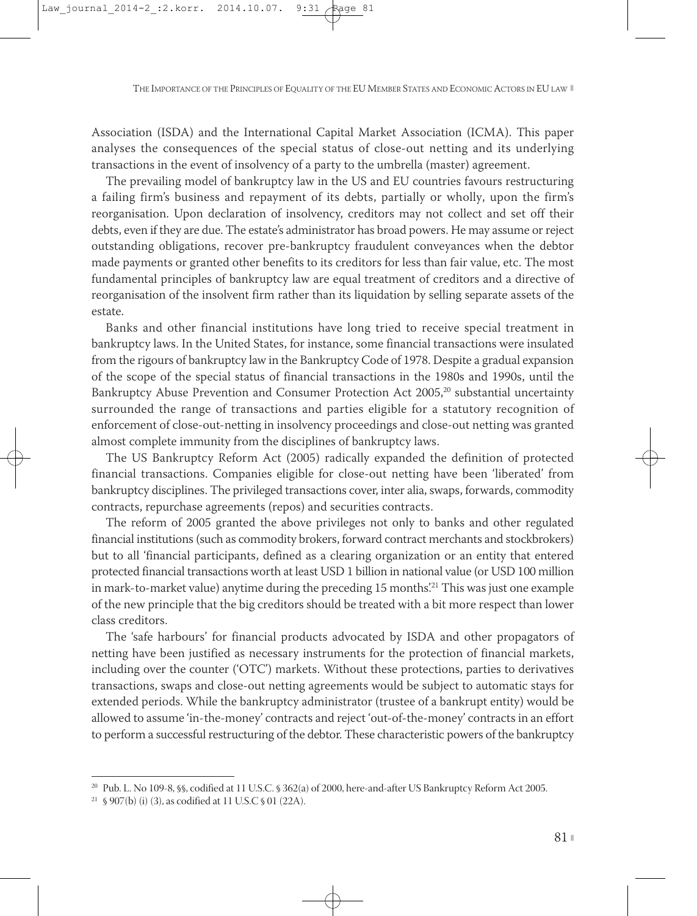Association (ISDA) and the International Capital Market Association (ICMA). This paper analyses the consequences of the special status of close-out netting and its underlying transactions in the event of insolvency of a party to the umbrella (master) agreement.

The prevailing model of bankruptcy law in the US and EU countries favours restructuring a failing firm's business and repayment of its debts, partially or wholly, upon the firm's reorganisation. Upon declaration of insolvency, creditors may not collect and set off their debts, even if they are due. The estate's administrator has broad powers. He may assume or reject outstanding obligations, recover pre-bankruptcy fraudulent conveyances when the debtor made payments or granted other benefits to its creditors for less than fair value, etc. The most fundamental principles of bankruptcy law are equal treatment of creditors and a directive of reorganisation of the insolvent firm rather than its liquidation by selling separate assets of the estate.

Banks and other financial institutions have long tried to receive special treatment in bankruptcy laws. In the United States, for instance, some financial transactions were insulated from the rigours of bankruptcy law in the Bankruptcy Code of 1978. Despite a gradual expansion of the scope of the special status of financial transactions in the 1980s and 1990s, until the Bankruptcy Abuse Prevention and Consumer Protection Act 2005,<sup>20</sup> substantial uncertainty surrounded the range of transactions and parties eligible for a statutory recognition of enforcement of close-out-netting in insolvency proceedings and close-out netting was granted almost complete immunity from the disciplines of bankruptcy laws.

The US Bankruptcy Reform Act (2005) radically expanded the definition of protected financial transactions. Companies eligible for close-out netting have been 'liberated' from bankruptcy disciplines. The privileged transactions cover, inter alia, swaps, forwards, commodity contracts, repurchase agreements (repos) and securities contracts.

The reform of 2005 granted the above privileges not only to banks and other regulated financial institutions (such as commodity brokers, forward contract merchants and stockbrokers) but to all 'financial participants, defined as a clearing organization or an entity that entered protected financial transactions worth at least USD 1 billion in national value (or USD 100 million in mark-to-market value) anytime during the preceding 15 months<sup>'21</sup> This was just one example of the new principle that the big creditors should be treated with a bit more respect than lower class creditors.

The 'safe harbours' for financial products advocated by ISDA and other propagators of netting have been justified as necessary instruments for the protection of financial markets, including over the counter ('OTC') markets. Without these protections, parties to derivatives transactions, swaps and close-out netting agreements would be subject to automatic stays for extended periods. While the bankruptcy administrator (trustee of a bankrupt entity) would be allowed to assume 'in-the-money' contracts and reject 'out-of-the-money' contracts in an effort to perform a successful restructuring of the debtor. These characteristic powers of the bankruptcy

<sup>20</sup> Pub. L. No 109-8, §§, codified at 11 U.S.C. § 362(a) of 2000, here-and-after US Bankruptcy Reform Act 2005.

<sup>&</sup>lt;sup>21</sup> § 907(b) (i) (3), as codified at 11 U.S.C § 01 (22A).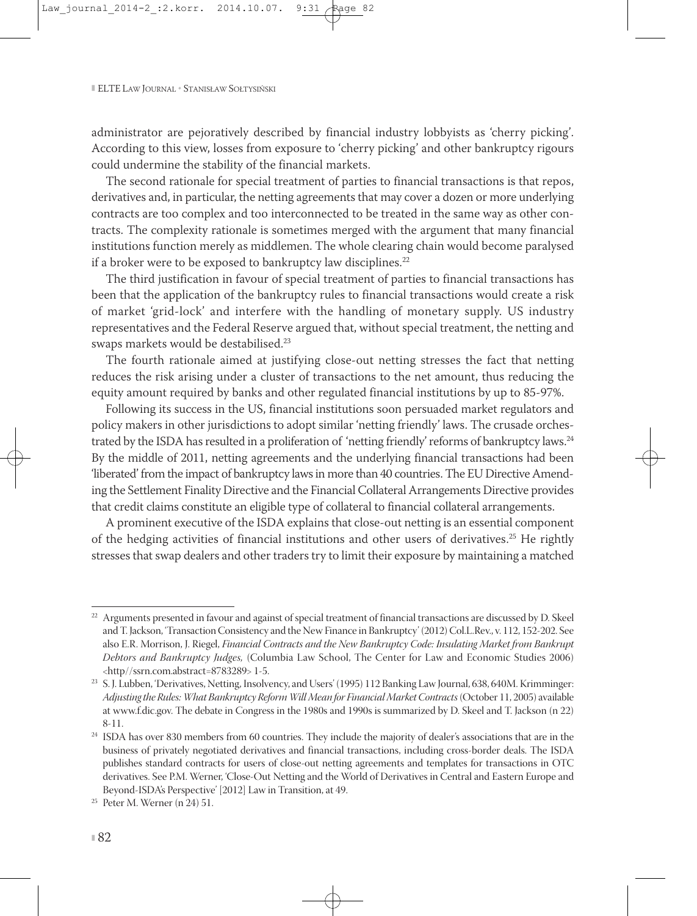administrator are pejoratively described by financial industry lobbyists as 'cherry picking'. According to this view, losses from exposure to 'cherry picking' and other bankruptcy rigours could undermine the stability of the financial markets.

The second rationale for special treatment of parties to financial transactions is that repos, derivatives and, in particular, the netting agreements that may cover a dozen or more underlying contracts are too complex and too interconnected to be treated in the same way as other contracts. The complexity rationale is sometimes merged with the argument that many financial institutions function merely as middlemen. The whole clearing chain would become paralysed if a broker were to be exposed to bankruptcy law disciplines.<sup>22</sup>

The third justification in favour of special treatment of parties to financial transactions has been that the application of the bankruptcy rules to financial transactions would create a risk of market 'grid-lock' and interfere with the handling of monetary supply. US industry representatives and the Federal Reserve argued that, without special treatment, the netting and swaps markets would be destabilised.23

The fourth rationale aimed at justifying close-out netting stresses the fact that netting reduces the risk arising under a cluster of transactions to the net amount, thus reducing the equity amount required by banks and other regulated financial institutions by up to 85-97%.

Following its success in the US, financial institutions soon persuaded market regulators and policy makers in other jurisdictions to adopt similar 'netting friendly' laws. The crusade orchestrated by the ISDA has resulted in a proliferation of 'netting friendly' reforms of bankruptcy laws.<sup>24</sup> By the middle of 2011, netting agreements and the underlying financial transactions had been 'liberated' from the impact of bankruptcy laws in more than 40 countries. The EU Directive Amending the Settlement Finality Directive and the Financial Collateral Arrangements Directive provides that credit claims constitute an eligible type of collateral to financial collateral arrangements.

A prominent executive of the ISDA explains that close-out netting is an essential component of the hedging activities of financial institutions and other users of derivatives.25 He rightly stresses that swap dealers and other traders try to limit their exposure by maintaining a matched

<sup>22</sup> Arguments presented in favour and against of special treatment of financial transactions are discussed by D. Skeel and T. Jackson, 'Transaction Consistency and the New Finance in Bankruptcy' (2012) Col.L.Rev., v. 112, 152-202. See also E.R. Morrison, J. Riegel, *Financial Contracts and the New Bankruptcy Code: Insulating Market from Bankrupt Debtors and Bankruptcy Judges,* (Columbia Law School, The Center for Law and Economic Studies 2006) <http//ssrn.com.abstract=8783289> 1-5.

<sup>23</sup> S. J. Lubben, 'Derivatives, Netting, Insolvency, and Users' (1995) 112 Banking Law Journal, 638, 640M. Krimminger: *Adjusting the Rules: What Bankruptcy Reform Will Mean for Financial Market Contracts* (October 11, 2005) available at www.f.dic.gov. The debate in Congress in the 1980s and 1990s is summarized by D. Skeel and T. Jackson (n 22) 8-11.

<sup>24</sup> ISDA has over 830 members from 60 countries. They include the majority of dealer's associations that are in the business of privately negotiated derivatives and financial transactions, including cross-border deals. The ISDA publishes standard contracts for users of close-out netting agreements and templates for transactions in OTC derivatives. See P.M. Werner, 'Close-Out Netting and the World of Derivatives in Central and Eastern Europe and Beyond-ISDA's Perspective' [2012] Law in Transition, at 49.

<sup>25</sup> Peter M. Werner (n 24) 51.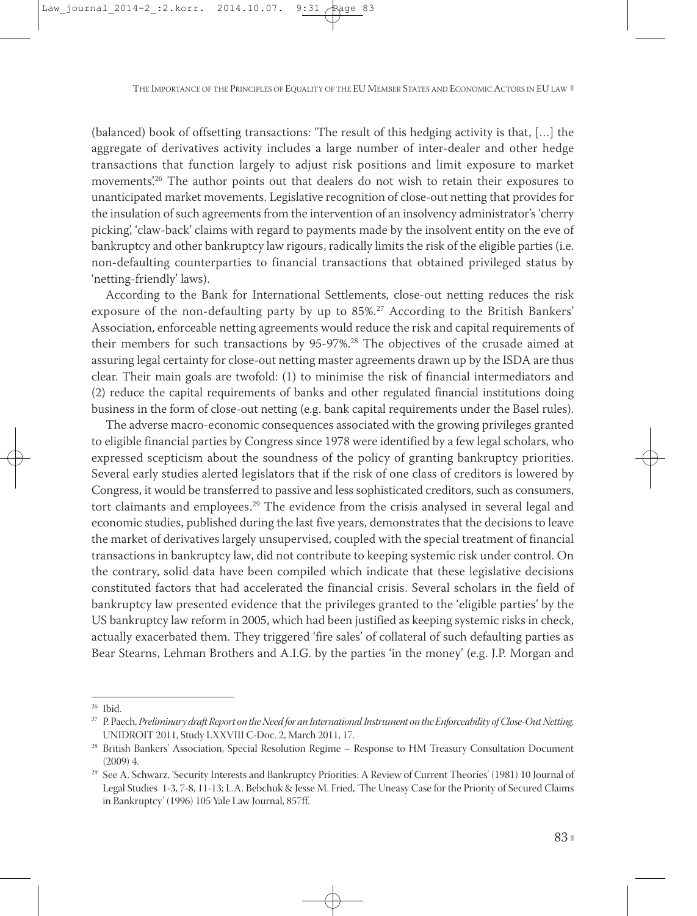(balanced) book of offsetting transactions: 'The result of this hedging activity is that, […] the aggregate of derivatives activity includes a large number of inter-dealer and other hedge transactions that function largely to adjust risk positions and limit exposure to market movements'.<sup>26</sup> The author points out that dealers do not wish to retain their exposures to unanticipated market movements. Legislative recognition of close-out netting that provides for the insulation of such agreements from the intervention of an insolvency administrator's 'cherry picking', 'claw-back' claims with regard to payments made by the insolvent entity on the eve of bankruptcy and other bankruptcy law rigours, radically limits the risk of the eligible parties (i.e. non-defaulting counterparties to financial transactions that obtained privileged status by 'netting-friendly' laws).

According to the Bank for International Settlements, close-out netting reduces the risk exposure of the non-defaulting party by up to 85%.<sup>27</sup> According to the British Bankers' Association, enforceable netting agreements would reduce the risk and capital requirements of their members for such transactions by 95-97%.28 The objectives of the crusade aimed at assuring legal certainty for close-out netting master agreements drawn up by the ISDA are thus clear. Their main goals are twofold: (1) to minimise the risk of financial intermediators and (2) reduce the capital requirements of banks and other regulated financial institutions doing business in the form of close-out netting (e.g. bank capital requirements under the Basel rules).

The adverse macro-economic consequences associated with the growing privileges granted to eligible financial parties by Congress since 1978 were identified by a few legal scholars, who expressed scepticism about the soundness of the policy of granting bankruptcy priorities. Several early studies alerted legislators that if the risk of one class of creditors is lowered by Congress, it would be transferred to passive and less sophisticated creditors, such as consumers, tort claimants and employees.<sup>29</sup> The evidence from the crisis analysed in several legal and economic studies, published during the last five years, demonstrates that the decisions to leave the market of derivatives largely unsupervised, coupled with the special treatment of financial transactions in bankruptcy law, did not contribute to keeping systemic risk under control. On the contrary, solid data have been compiled which indicate that these legislative decisions constituted factors that had accelerated the financial crisis. Several scholars in the field of bankruptcy law presented evidence that the privileges granted to the 'eligible parties' by the US bankruptcy law reform in 2005, which had been justified as keeping systemic risks in check, actually exacerbated them. They triggered 'fire sales' of collateral of such defaulting parties as Bear Stearns, Lehman Brothers and A.I.G. by the parties 'in the money' (e.g. J.P. Morgan and

<sup>26</sup> Ibid.

<sup>27</sup> P. Paech, *Preliminary draft Report on the Need for an International Instrument on the Enforceability of Close-Out Netting,* UNIDROIT 2011, Study LXXVIII C-Doc. 2, March 2011, 17.

<sup>&</sup>lt;sup>28</sup> British Bankers' Association, Special Resolution Regime – Response to HM Treasury Consultation Document (2009) 4.

<sup>29</sup> See A. Schwarz, 'Security Interests and Bankruptcy Priorities: A Review of Current Theories' (1981) 10 Journal of Legal Studies 1-3, 7-8, 11-13; L.A. Bebchuk & Jesse M. Fried, 'The Uneasy Case for the Priority of Secured Claims in Bankruptcy' (1996) 105 Yale Law Journal, 857ff.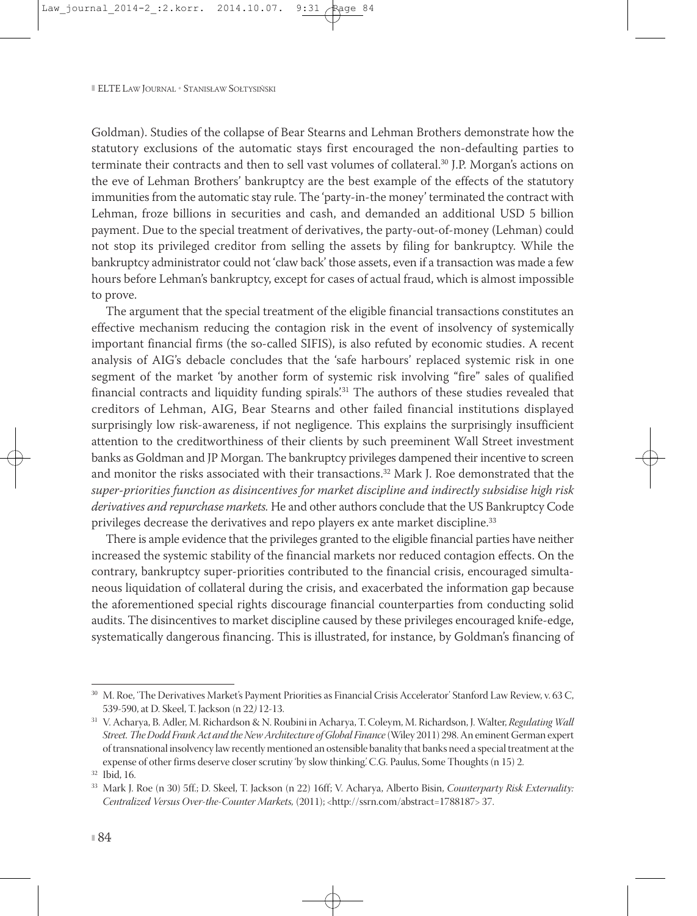Goldman). Studies of the collapse of Bear Stearns and Lehman Brothers demonstrate how the statutory exclusions of the automatic stays first encouraged the non-defaulting parties to terminate their contracts and then to sell vast volumes of collateral.30 J.P. Morgan's actions on the eve of Lehman Brothers' bankruptcy are the best example of the effects of the statutory immunities from the automatic stay rule. The 'party-in-the money' terminated the contract with Lehman, froze billions in securities and cash, and demanded an additional USD 5 billion payment. Due to the special treatment of derivatives, the party-out-of-money (Lehman) could not stop its privileged creditor from selling the assets by filing for bankruptcy. While the bankruptcy administrator could not 'claw back' those assets, even if a transaction was made a few hours before Lehman's bankruptcy, except for cases of actual fraud, which is almost impossible to prove.

The argument that the special treatment of the eligible financial transactions constitutes an effective mechanism reducing the contagion risk in the event of insolvency of systemically important financial firms (the so-called SIFIS), is also refuted by economic studies. A recent analysis of AIG's debacle concludes that the 'safe harbours' replaced systemic risk in one segment of the market 'by another form of systemic risk involving "fire" sales of qualified financial contracts and liquidity funding spirals.<sup>31</sup> The authors of these studies revealed that creditors of Lehman, AIG, Bear Stearns and other failed financial institutions displayed surprisingly low risk-awareness, if not negligence. This explains the surprisingly insufficient attention to the creditworthiness of their clients by such preeminent Wall Street investment banks as Goldman and JP Morgan. The bankruptcy privileges dampened their incentive to screen and monitor the risks associated with their transactions.32 Mark J. Roe demonstrated that the *super-priorities function as disincentives for market discipline and indirectly subsidise high risk derivatives and repurchase markets.* He and other authors conclude that the US Bankruptcy Code privileges decrease the derivatives and repo players ex ante market discipline.<sup>33</sup>

There is ample evidence that the privileges granted to the eligible financial parties have neither increased the systemic stability of the financial markets nor reduced contagion effects. On the contrary, bankruptcy super-priorities contributed to the financial crisis, encouraged simultaneous liquidation of collateral during the crisis, and exacerbated the information gap because the aforementioned special rights discourage financial counterparties from conducting solid audits. The disincentives to market discipline caused by these privileges encouraged knife-edge, systematically dangerous financing. This is illustrated, for instance, by Goldman's financing of

<sup>&</sup>lt;sup>30</sup> M. Roe, 'The Derivatives Market's Payment Priorities as Financial Crisis Accelerator' Stanford Law Review, v. 63 C, 539-590, at D. Skeel, T. Jackson (n 22*)* 12-13.

<sup>31</sup> V. Acharya, B. Adler, M. Richardson & N. Roubini in Acharya, T. Coleym, M. Richardson, J. Walter, *Regulating Wall Street. The Dodd Frank Act and the New Architecture of Global Finance*(Wiley 2011) 298. An eminent German expert of transnational insolvency law recently mentioned an ostensible banality that banks need a special treatment at the expense of other firms deserve closer scrutiny 'by slow thinking'. C.G. Paulus, Some Thoughts (n 15) 2.

<sup>32</sup> Ibid, 16.

<sup>33</sup> Mark J. Roe (n 30) 5ff.; D. Skeel, T. Jackson (n 22) 16ff; V. Acharya, Alberto Bisin, *Counterparty Risk Externality: Centralized Versus Over-the-Counter Markets,* (2011); <http://ssrn.com/abstract=1788187> 37.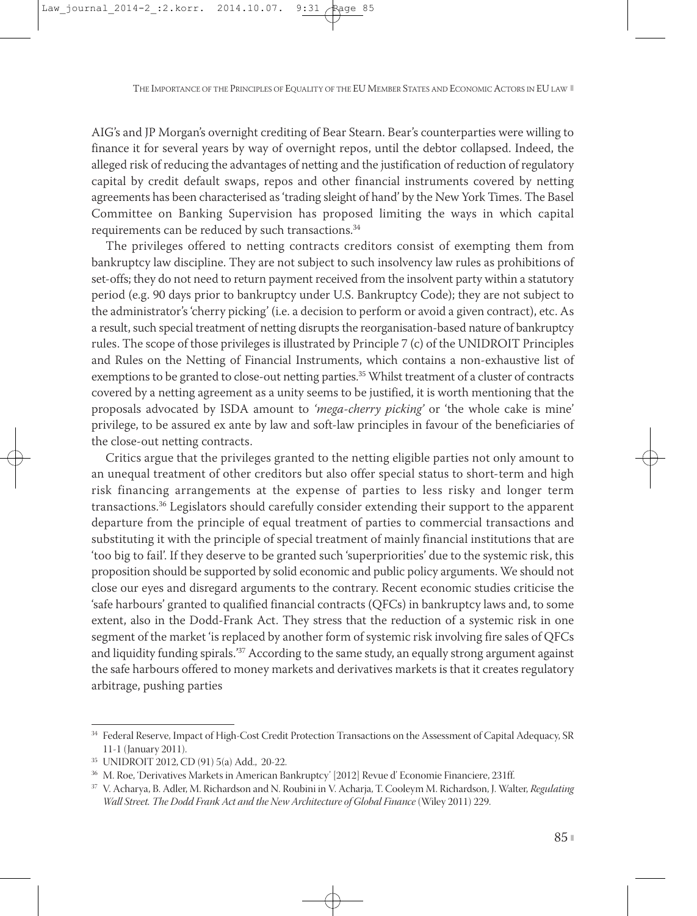AIG's and JP Morgan's overnight crediting of Bear Stearn. Bear's counterparties were willing to finance it for several years by way of overnight repos, until the debtor collapsed. Indeed, the alleged risk of reducing the advantages of netting and the justification of reduction of regulatory capital by credit default swaps, repos and other financial instruments covered by netting agreements has been characterised as 'trading sleight of hand' by the New York Times. The Basel Committee on Banking Supervision has proposed limiting the ways in which capital requirements can be reduced by such transactions.34

The privileges offered to netting contracts creditors consist of exempting them from bankruptcy law discipline. They are not subject to such insolvency law rules as prohibitions of set-offs; they do not need to return payment received from the insolvent party within a statutory period (e.g. 90 days prior to bankruptcy under U.S. Bankruptcy Code); they are not subject to the administrator's 'cherry picking' (i.e. a decision to perform or avoid a given contract), etc. As a result, such special treatment of netting disrupts the reorganisation-based nature of bankruptcy rules. The scope of those privileges is illustrated by Principle 7 (c) of the UNIDROIT Principles and Rules on the Netting of Financial Instruments, which contains a non-exhaustive list of exemptions to be granted to close-out netting parties.<sup>35</sup> Whilst treatment of a cluster of contracts covered by a netting agreement as a unity seems to be justified, it is worth mentioning that the proposals advocated by ISDA amount to *'mega-cherry picking'* or 'the whole cake is mine' privilege, to be assured ex ante by law and soft-law principles in favour of the beneficiaries of the close-out netting contracts.

Critics argue that the privileges granted to the netting eligible parties not only amount to an unequal treatment of other creditors but also offer special status to short-term and high risk financing arrangements at the expense of parties to less risky and longer term transactions.36 Legislators should carefully consider extending their support to the apparent departure from the principle of equal treatment of parties to commercial transactions and substituting it with the principle of special treatment of mainly financial institutions that are 'too big to fail'. If they deserve to be granted such 'superpriorities' due to the systemic risk, this proposition should be supported by solid economic and public policy arguments. We should not close our eyes and disregard arguments to the contrary. Recent economic studies criticise the 'safe harbours' granted to qualified financial contracts (QFCs) in bankruptcy laws and, to some extent, also in the Dodd-Frank Act. They stress that the reduction of a systemic risk in one segment of the market 'is replaced by another form of systemic risk involving fire sales of QFCs and liquidity funding spirals.'<sup>37</sup> According to the same study, an equally strong argument against the safe harbours offered to money markets and derivatives markets is that it creates regulatory arbitrage, pushing parties

<sup>34</sup> Federal Reserve, Impact of High-Cost Credit Protection Transactions on the Assessment of Capital Adequacy, SR 11-1 (January 2011).

<sup>35</sup> UNIDROIT 2012, CD (91) 5(a) Add., 20-22.

<sup>36</sup> M. Roe, 'Derivatives Markets in American Bankruptcy' [2012] Revue d' Economie Financiere, 231ff.

<sup>37</sup> V. Acharya, B. Adler, M. Richardson and N. Roubini in V. Acharja, T. Cooleym M. Richardson, J. Walter, *Regulating Wall Street. The Dodd Frank Act and the New Architecture of Global Finance* (Wiley 2011) 229.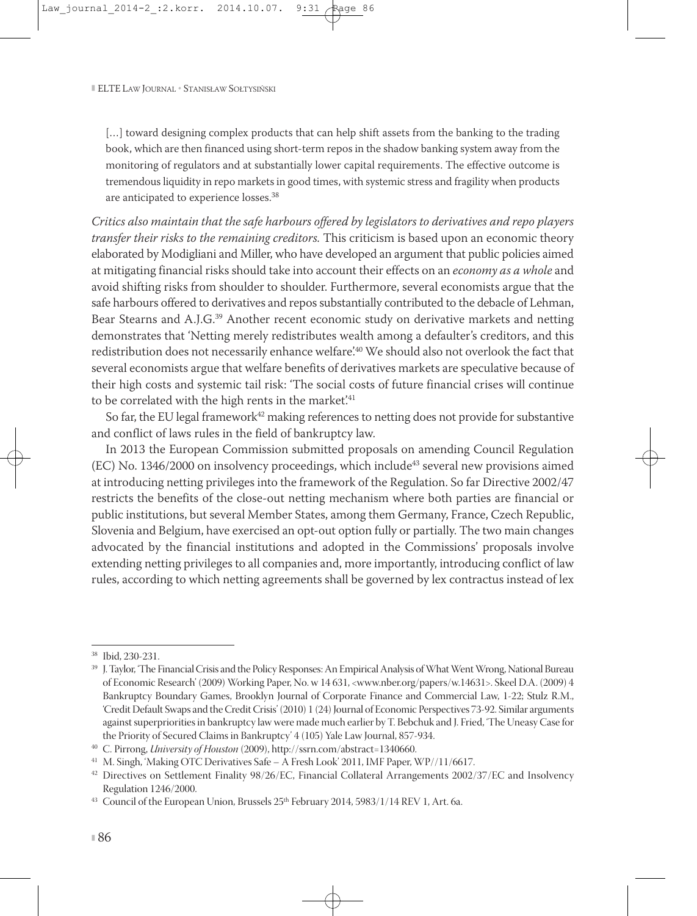[...] toward designing complex products that can help shift assets from the banking to the trading book, which are then financed using short-term repos in the shadow banking system away from the monitoring of regulators and at substantially lower capital requirements. The effective outcome is tremendous liquidity in repo markets in good times, with systemic stress and fragility when products are anticipated to experience losses.<sup>38</sup>

*Critics also maintain that the safe harbours offered by legislators to derivatives and repo players transfer their risks to the remaining creditors.* This criticism is based upon an economic theory elaborated by Modigliani and Miller, who have developed an argument that public policies aimed at mitigating financial risks should take into account their effects on an *economy as a whole* and avoid shifting risks from shoulder to shoulder. Furthermore, several economists argue that the safe harbours offered to derivatives and repos substantially contributed to the debacle of Lehman, Bear Stearns and A.J.G.39 Another recent economic study on derivative markets and netting demonstrates that 'Netting merely redistributes wealth among a defaulter's creditors, and this redistribution does not necessarily enhance welfare'.40 We should also not overlook the fact that several economists argue that welfare benefits of derivatives markets are speculative because of their high costs and systemic tail risk: 'The social costs of future financial crises will continue to be correlated with the high rents in the market.<sup>41</sup>

So far, the EU legal framework<sup>42</sup> making references to netting does not provide for substantive and conflict of laws rules in the field of bankruptcy law.

In 2013 the European Commission submitted proposals on amending Council Regulation  $(EC)$  No. 1346/2000 on insolvency proceedings, which include<sup>43</sup> several new provisions aimed at introducing netting privileges into the framework of the Regulation. So far Directive 2002/47 restricts the benefits of the close-out netting mechanism where both parties are financial or public institutions, but several Member States, among them Germany, France, Czech Republic, Slovenia and Belgium, have exercised an opt-out option fully or partially. The two main changes advocated by the financial institutions and adopted in the Commissions' proposals involve extending netting privileges to all companies and, more importantly, introducing conflict of law rules, according to which netting agreements shall be governed by lex contractus instead of lex

<sup>38</sup> Ibid, 230-231.

<sup>39</sup> J. Taylor, 'The Financial Crisis and the Policy Responses: An Empirical Analysis of What Went Wrong, National Bureau of Economic Research' (2009) Working Paper, No. w 14 631, <www.nber.org/papers/w.14631>. Skeel D.A. (2009) 4 Bankruptcy Boundary Games, Brooklyn Journal of Corporate Finance and Commercial Law, 1-22; Stulz R.M., 'Credit Default Swaps and the Credit Crisis' (2010) 1 (24) Journal of Economic Perspectives 73-92. Similar arguments against superpriorities in bankruptcy law were made much earlier by T. Bebchuk and J. Fried, 'The Uneasy Case for the Priority of Secured Claims in Bankruptcy' 4 (105) Yale Law Journal, 857-934.

<sup>40</sup> C. Pirrong, *University of Houston* (2009), http://ssrn.com/abstract=1340660.

<sup>41</sup> M. Singh, 'Making OTC Derivatives Safe – A Fresh Look' 2011, IMF Paper, WP//11/6617.

<sup>42</sup> Directives on Settlement Finality 98/26/EC, Financial Collateral Arrangements 2002/37/EC and Insolvency Regulation 1246/2000.

<sup>&</sup>lt;sup>43</sup> Council of the European Union, Brussels 25<sup>th</sup> February 2014, 5983/1/14 REV 1, Art. 6a.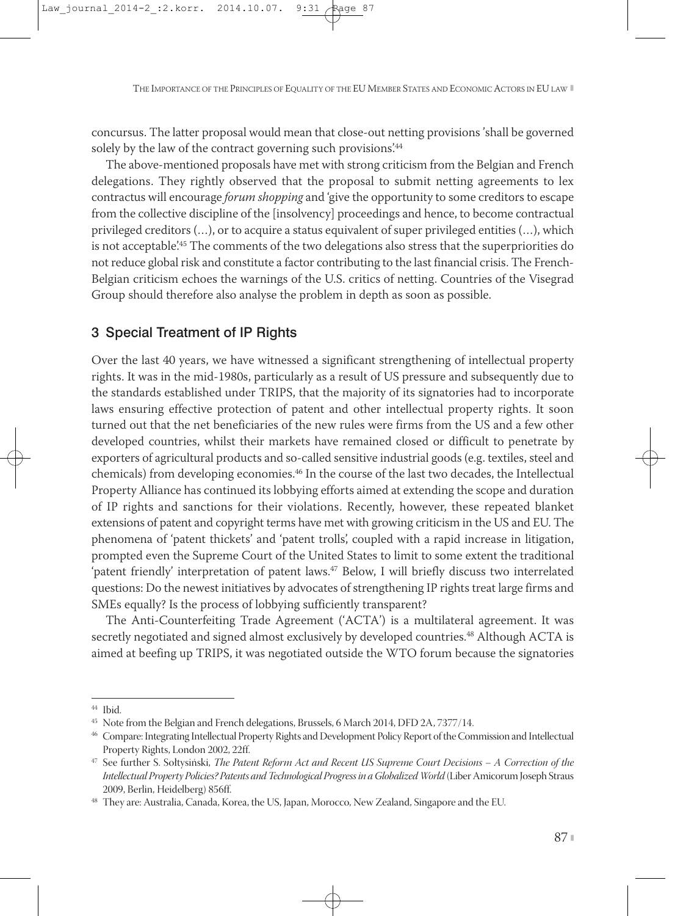concursus. The latter proposal would mean that close-out netting provisions 'shall be governed solely by the law of the contract governing such provisions.<sup>44</sup>

The above-mentioned proposals have met with strong criticism from the Belgian and French delegations. They rightly observed that the proposal to submit netting agreements to lex contractus will encourage *forum shopping* and 'give the opportunity to some creditors to escape from the collective discipline of the [insolvency] proceedings and hence, to become contractual privileged creditors (…), or to acquire a status equivalent of super privileged entities (…), which is not acceptable.<sup>45</sup> The comments of the two delegations also stress that the superpriorities do not reduce global risk and constitute a factor contributing to the last financial crisis. The French-Belgian criticism echoes the warnings of the U.S. critics of netting. Countries of the Visegrad Group should therefore also analyse the problem in depth as soon as possible.

# 3 Special Treatment of IP Rights

Over the last 40 years, we have witnessed a significant strengthening of intellectual property rights. It was in the mid-1980s, particularly as a result of US pressure and subsequently due to the standards established under TRIPS, that the majority of its signatories had to incorporate laws ensuring effective protection of patent and other intellectual property rights. It soon turned out that the net beneficiaries of the new rules were firms from the US and a few other developed countries, whilst their markets have remained closed or difficult to penetrate by exporters of agricultural products and so-called sensitive industrial goods (e.g. textiles, steel and chemicals) from developing economies.46 In the course of the last two decades, the Intellectual Property Alliance has continued its lobbying efforts aimed at extending the scope and duration of IP rights and sanctions for their violations. Recently, however, these repeated blanket extensions of patent and copyright terms have met with growing criticism in the US and EU. The phenomena of 'patent thickets' and 'patent trolls', coupled with a rapid increase in litigation, prompted even the Supreme Court of the United States to limit to some extent the traditional 'patent friendly' interpretation of patent laws.47 Below, I will briefly discuss two interrelated questions: Do the newest initiatives by advocates of strengthening IP rights treat large firms and SMEs equally? Is the process of lobbying sufficiently transparent?

The Anti-Counterfeiting Trade Agreement ('ACTA') is a multilateral agreement. It was secretly negotiated and signed almost exclusively by developed countries.<sup>48</sup> Although ACTA is aimed at beefing up TRIPS, it was negotiated outside the WTO forum because the signatories

<sup>44</sup> Ibid.

<sup>&</sup>lt;sup>45</sup> Note from the Belgian and French delegations, Brussels, 6 March 2014, DFD 2A, 7377/14.

<sup>46</sup> Compare: Integrating Intellectual Property Rights and Development Policy Report of the Commission and Intellectual Property Rights, London 2002, 22ff.

<sup>47</sup> See further S. Sołtysiński, *The Patent Reform Act and Recent US Supreme Court Decisions – A Correction of the Intellectual Property Policies? Patents and Technological Progress in a Globalized World* (Liber Amicorum Joseph Straus 2009, Berlin, Heidelberg) 856ff.

<sup>&</sup>lt;sup>48</sup> They are: Australia, Canada, Korea, the US, Japan, Morocco, New Zealand, Singapore and the EU.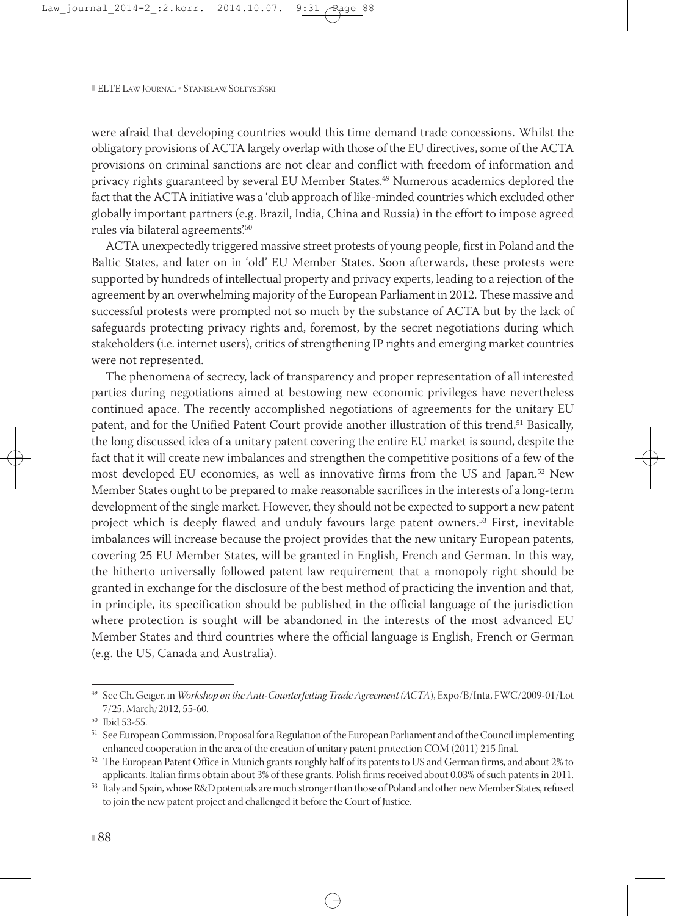were afraid that developing countries would this time demand trade concessions. Whilst the obligatory provisions of ACTA largely overlap with those of the EU directives, some of the ACTA provisions on criminal sanctions are not clear and conflict with freedom of information and privacy rights guaranteed by several EU Member States.49 Numerous academics deplored the fact that the ACTA initiative was a 'club approach of like-minded countries which excluded other globally important partners (e.g. Brazil, India, China and Russia) in the effort to impose agreed rules via bilateral agreements'.<sup>50</sup>

ACTA unexpectedly triggered massive street protests of young people, first in Poland and the Baltic States, and later on in 'old' EU Member States. Soon afterwards, these protests were supported by hundreds of intellectual property and privacy experts, leading to a rejection of the agreement by an overwhelming majority of the European Parliament in 2012. These massive and successful protests were prompted not so much by the substance of ACTA but by the lack of safeguards protecting privacy rights and, foremost, by the secret negotiations during which stakeholders (i.e. internet users), critics of strengthening IP rights and emerging market countries were not represented.

The phenomena of secrecy, lack of transparency and proper representation of all interested parties during negotiations aimed at bestowing new economic privileges have nevertheless continued apace. The recently accomplished negotiations of agreements for the unitary EU patent, and for the Unified Patent Court provide another illustration of this trend.<sup>51</sup> Basically, the long discussed idea of a unitary patent covering the entire EU market is sound, despite the fact that it will create new imbalances and strengthen the competitive positions of a few of the most developed EU economies, as well as innovative firms from the US and Japan.52 New Member States ought to be prepared to make reasonable sacrifices in the interests of a long-term development of the single market. However, they should not be expected to support a new patent project which is deeply flawed and unduly favours large patent owners.53 First, inevitable imbalances will increase because the project provides that the new unitary European patents, covering 25 EU Member States, will be granted in English, French and German. In this way, the hitherto universally followed patent law requirement that a monopoly right should be granted in exchange for the disclosure of the best method of practicing the invention and that, in principle, its specification should be published in the official language of the jurisdiction where protection is sought will be abandoned in the interests of the most advanced EU Member States and third countries where the official language is English, French or German (e.g. the US, Canada and Australia).

<sup>49</sup> See Ch. Geiger, in *Workshop on the Anti-Counterfeiting Trade Agreement (ACTA*), Expo/B/Inta, FWC/2009-01/Lot 7/25, March/2012, 55-60.

<sup>50</sup> Ibid 53-55.

<sup>&</sup>lt;sup>51</sup> See European Commission, Proposal for a Regulation of the European Parliament and of the Council implementing enhanced cooperation in the area of the creation of unitary patent protection COM (2011) 215 final.

 $52$  The European Patent Office in Munich grants roughly half of its patents to US and German firms, and about 2% to applicants. Italian firms obtain about 3% of these grants. Polish firms received about 0.03% of such patents in 2011.

<sup>53</sup> Italy and Spain, whose R&D potentials are much stronger than those of Poland and other new Member States, refused to join the new patent project and challenged it before the Court of Justice.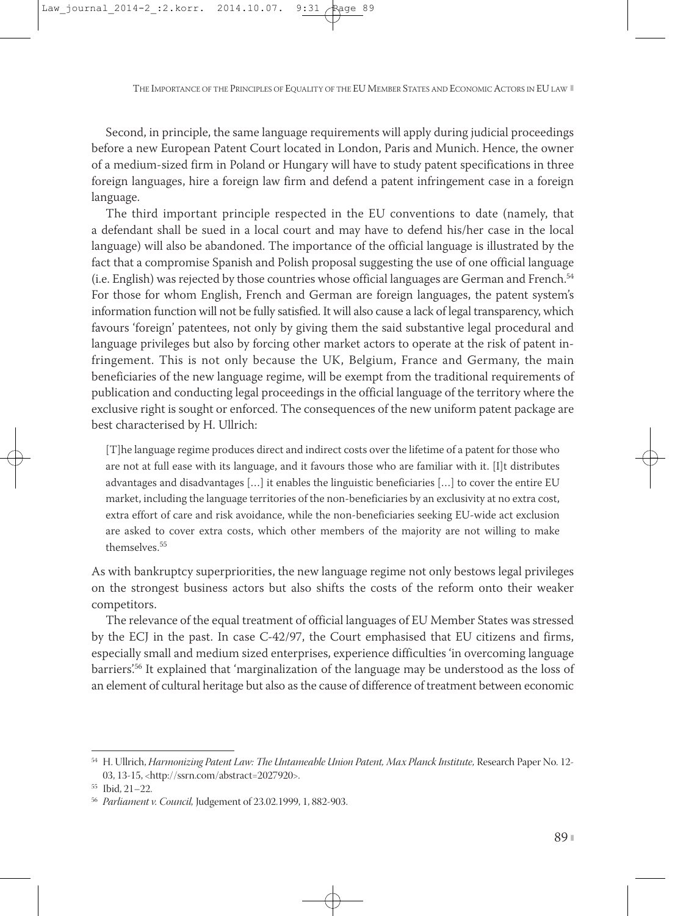Second, in principle, the same language requirements will apply during judicial proceedings before a new European Patent Court located in London, Paris and Munich. Hence, the owner of a medium-sized firm in Poland or Hungary will have to study patent specifications in three foreign languages, hire a foreign law firm and defend a patent infringement case in a foreign language.

The third important principle respected in the EU conventions to date (namely, that a defendant shall be sued in a local court and may have to defend his/her case in the local language) will also be abandoned. The importance of the official language is illustrated by the fact that a compromise Spanish and Polish proposal suggesting the use of one official language (i.e. English) was rejected by those countries whose official languages are German and French.54 For those for whom English, French and German are foreign languages, the patent system's information function will not be fully satisfied. It will also cause a lack of legal transparency, which favours 'foreign' patentees, not only by giving them the said substantive legal procedural and language privileges but also by forcing other market actors to operate at the risk of patent infringement. This is not only because the UK, Belgium, France and Germany, the main beneficiaries of the new language regime, will be exempt from the traditional requirements of publication and conducting legal proceedings in the official language of the territory where the exclusive right is sought or enforced. The consequences of the new uniform patent package are best characterised by H. Ullrich:

[T]he language regime produces direct and indirect costs over the lifetime of a patent for those who are not at full ease with its language, and it favours those who are familiar with it. [I]t distributes advantages and disadvantages […] it enables the linguistic beneficiaries […] to cover the entire EU market, including the language territories of the non-beneficiaries by an exclusivity at no extra cost, extra effort of care and risk avoidance, while the non-beneficiaries seeking EU-wide act exclusion are asked to cover extra costs, which other members of the majority are not willing to make themselves.55

As with bankruptcy superpriorities, the new language regime not only bestows legal privileges on the strongest business actors but also shifts the costs of the reform onto their weaker competitors.

The relevance of the equal treatment of official languages of EU Member States was stressed by the ECJ in the past. In case C-42/97, the Court emphasised that EU citizens and firms, especially small and medium sized enterprises, experience difficulties 'in overcoming language barriers'.56 It explained that 'marginalization of the language may be understood as the loss of an element of cultural heritage but also as the cause of difference of treatment between economic

<sup>54</sup> H. Ullrich, *Harmonizing Patent Law: The Untameable Union Patent, Max Planck Institute,* Research Paper No. 12- 03, 13-15, <http://ssrn.com/abstract=2027920>.

<sup>55</sup> Ibid, 21–22. 56 *Parliament v. Council,* Judgement of 23.02.1999, 1, 882-903.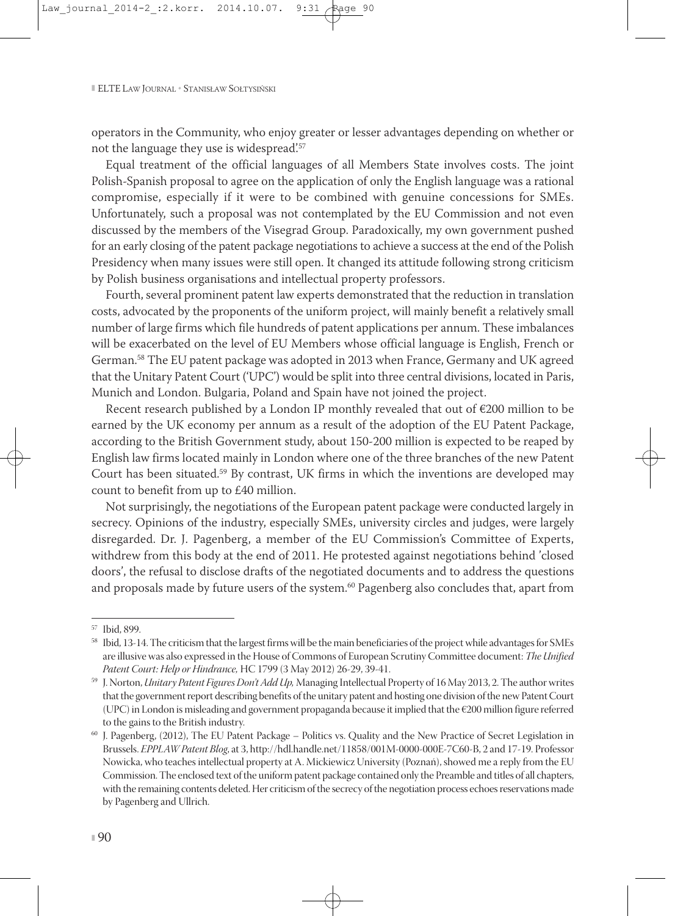operators in the Community, who enjoy greater or lesser advantages depending on whether or not the language they use is widespread.<sup>57</sup>

Equal treatment of the official languages of all Members State involves costs. The joint Polish-Spanish proposal to agree on the application of only the English language was a rational compromise, especially if it were to be combined with genuine concessions for SMEs. Unfortunately, such a proposal was not contemplated by the EU Commission and not even discussed by the members of the Visegrad Group. Paradoxically, my own government pushed for an early closing of the patent package negotiations to achieve a success at the end of the Polish Presidency when many issues were still open. It changed its attitude following strong criticism by Polish business organisations and intellectual property professors.

Fourth, several prominent patent law experts demonstrated that the reduction in translation costs, advocated by the proponents of the uniform project, will mainly benefit a relatively small number of large firms which file hundreds of patent applications per annum. These imbalances will be exacerbated on the level of EU Members whose official language is English, French or German.58 The EU patent package was adopted in 2013 when France, Germany and UK agreed that the Unitary Patent Court ('UPC') would be split into three central divisions, located in Paris, Munich and London. Bulgaria, Poland and Spain have not joined the project.

Recent research published by a London IP monthly revealed that out of  $\epsilon$ 200 million to be earned by the UK economy per annum as a result of the adoption of the EU Patent Package, according to the British Government study, about 150-200 million is expected to be reaped by English law firms located mainly in London where one of the three branches of the new Patent Court has been situated.59 By contrast, UK firms in which the inventions are developed may count to benefit from up to £40 million.

Not surprisingly, the negotiations of the European patent package were conducted largely in secrecy. Opinions of the industry, especially SMEs, university circles and judges, were largely disregarded. Dr. J. Pagenberg, a member of the EU Commission's Committee of Experts, withdrew from this body at the end of 2011. He protested against negotiations behind 'closed doors', the refusal to disclose drafts of the negotiated documents and to address the questions and proposals made by future users of the system.<sup>60</sup> Pagenberg also concludes that, apart from

<sup>57</sup> Ibid, 899.

<sup>58</sup> Ibid, 13-14. The criticism that the largest firms will be the main beneficiaries of the project while advantages for SMEs are illusive was also expressed in the House of Commons of European Scrutiny Committee document: *The Unified Patent Court: Help or Hindrance,* HC 1799 (3 May 2012) 26-29, 39-41.

<sup>59</sup> J. Norton, *Unitary Patent Figures Don't Add Up,* Managing Intellectual Property of 16 May 2013, 2. The author writes that the government report describing benefits of the unitary patent and hosting one division of the new Patent Court (UPC) in London is misleading and government propaganda because it implied that the €200 million figure referred to the gains to the British industry.

<sup>60</sup> J. Pagenberg, (2012), The EU Patent Package – Politics vs. Quality and the New Practice of Secret Legislation in Brussels. *EPPLAW Patent Blog*, at 3, http://hdl.handle.net/11858/001M-0000-000E-7C60-B, 2 and 17-19. Professor Nowicka, who teaches intellectual property at A. Mickiewicz University (Poznań), showed me a reply from the EU Commission. The enclosed text of the uniform patent package contained only the Preamble and titles of all chapters, with the remaining contents deleted. Her criticism of the secrecy of the negotiation process echoes reservations made by Pagenberg and Ullrich.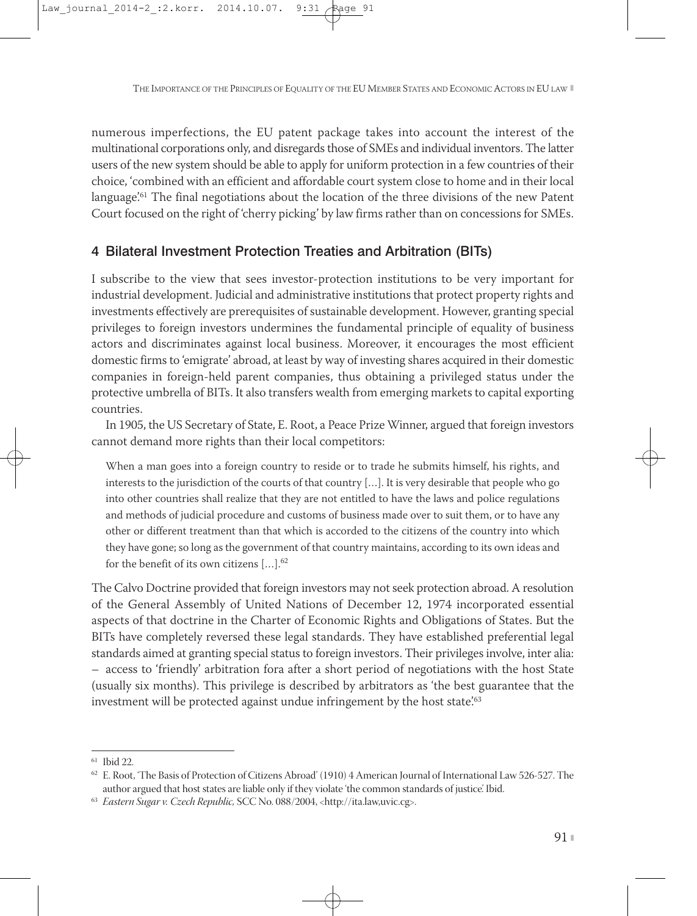numerous imperfections, the EU patent package takes into account the interest of the multinational corporations only, and disregards those of SMEs and individual inventors. The latter users of the new system should be able to apply for uniform protection in a few countries of their choice, 'combined with an efficient and affordable court system close to home and in their local language'.<sup>61</sup> The final negotiations about the location of the three divisions of the new Patent Court focused on the right of 'cherry picking' by law firms rather than on concessions for SMEs.

# 4 Bilateral Investment Protection Treaties and Arbitration (BITs)

I subscribe to the view that sees investor-protection institutions to be very important for industrial development. Judicial and administrative institutions that protect property rights and investments effectively are prerequisites of sustainable development. However, granting special privileges to foreign investors undermines the fundamental principle of equality of business actors and discriminates against local business. Moreover, it encourages the most efficient domestic firms to 'emigrate' abroad, at least by way of investing shares acquired in their domestic companies in foreign-held parent companies, thus obtaining a privileged status under the protective umbrella of BITs. It also transfers wealth from emerging markets to capital exporting countries.

In 1905, the US Secretary of State, E. Root, a Peace Prize Winner, argued that foreign investors cannot demand more rights than their local competitors:

When a man goes into a foreign country to reside or to trade he submits himself, his rights, and interests to the jurisdiction of the courts of that country […]. It is very desirable that people who go into other countries shall realize that they are not entitled to have the laws and police regulations and methods of judicial procedure and customs of business made over to suit them, or to have any other or different treatment than that which is accorded to the citizens of the country into which they have gone; so long as the government of that country maintains, according to its own ideas and for the benefit of its own citizens […].<sup>62</sup>

The Calvo Doctrine provided that foreign investors may not seek protection abroad. A resolution of the General Assembly of United Nations of December 12, 1974 incorporated essential aspects of that doctrine in the Charter of Economic Rights and Obligations of States. But the BITs have completely reversed these legal standards. They have established preferential legal standards aimed at granting special status to foreign investors. Their privileges involve, inter alia: – access to 'friendly' arbitration fora after a short period of negotiations with the host State (usually six months). This privilege is described by arbitrators as 'the best guarantee that the investment will be protected against undue infringement by the host state'.<sup>63</sup>

 $61$  Ibid 22.

 $62$  E. Root, 'The Basis of Protection of Citizens Abroad' (1910) 4 American Journal of International Law 526-527. The author argued that host states are liable only if they violate 'the common standards of justice'. Ibid.

<sup>63</sup> *Eastern Sugar v. Czech Republic,* SCC No. 088/2004, <http://ita.law,uvic.cg>.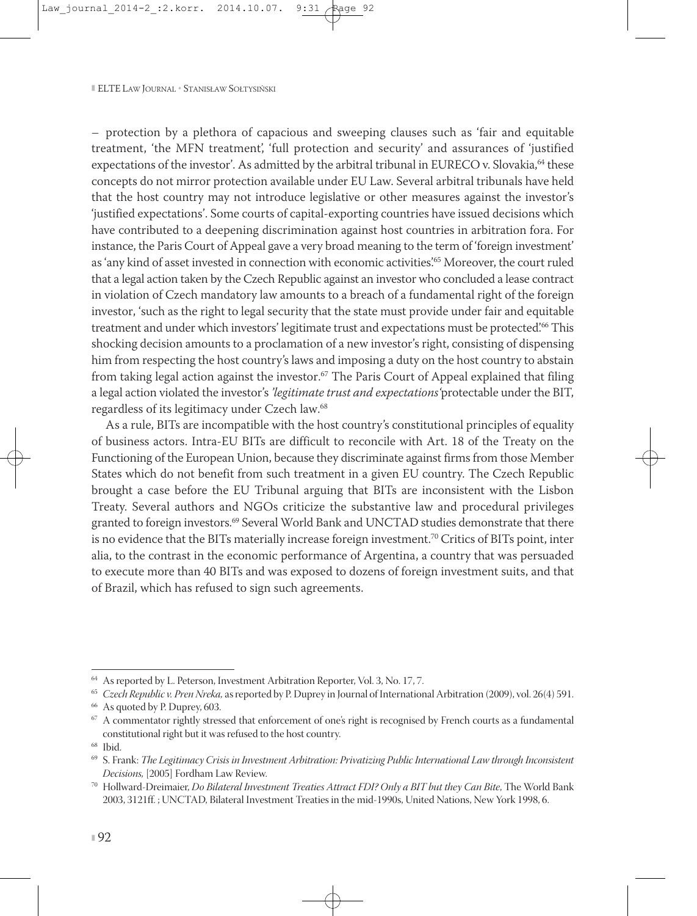– protection by a plethora of capacious and sweeping clauses such as 'fair and equitable treatment, 'the MFN treatment', 'full protection and security' and assurances of 'justified expectations of the investor'. As admitted by the arbitral tribunal in EURECO v. Slovakia, <sup>64</sup> these concepts do not mirror protection available under EU Law. Several arbitral tribunals have held that the host country may not introduce legislative or other measures against the investor's 'justified expectations'. Some courts of capital-exporting countries have issued decisions which have contributed to a deepening discrimination against host countries in arbitration fora. For instance, the Paris Court of Appeal gave a very broad meaning to the term of 'foreign investment' as 'any kind of asset invested in connection with economic activities'.<sup>65</sup> Moreover, the court ruled that a legal action taken by the Czech Republic against an investor who concluded a lease contract in violation of Czech mandatory law amounts to a breach of a fundamental right of the foreign investor, 'such as the right to legal security that the state must provide under fair and equitable treatment and under which investors' legitimate trust and expectations must be protected'.66 This shocking decision amounts to a proclamation of a new investor's right, consisting of dispensing him from respecting the host country's laws and imposing a duty on the host country to abstain from taking legal action against the investor.<sup>67</sup> The Paris Court of Appeal explained that filing a legal action violated the investor's *'legitimate trust and expectations'*protectable under the BIT, regardless of its legitimacy under Czech law.68

As a rule, BITs are incompatible with the host country's constitutional principles of equality of business actors. Intra-EU BITs are difficult to reconcile with Art. 18 of the Treaty on the Functioning of the European Union, because they discriminate against firms from those Member States which do not benefit from such treatment in a given EU country. The Czech Republic brought a case before the EU Tribunal arguing that BITs are inconsistent with the Lisbon Treaty. Several authors and NGOs criticize the substantive law and procedural privileges granted to foreign investors.<sup>69</sup> Several World Bank and UNCTAD studies demonstrate that there is no evidence that the BITs materially increase foreign investment.<sup>70</sup> Critics of BITs point, inter alia, to the contrast in the economic performance of Argentina, a country that was persuaded to execute more than 40 BITs and was exposed to dozens of foreign investment suits, and that of Brazil, which has refused to sign such agreements.

<sup>64</sup> As reported by L. Peterson, Investment Arbitration Reporter, Vol. 3, No. 17, 7.

<sup>65</sup> *Czech Republic v. Pren Nreka,* as reported by P. Duprey in Journal of International Arbitration (2009), vol. 26(4) 591.

<sup>66</sup> As quoted by P. Duprey, 603.

 $67$  A commentator rightly stressed that enforcement of one's right is recognised by French courts as a fundamental constitutional right but it was refused to the host country.

<sup>68</sup> Ibid.

<sup>69</sup> S. Frank: *The Legitimacy Crisis in Investment Arbitration: Privatizing Public International Law through Inconsistent Decisions,* [2005] Fordham Law Review.

<sup>70</sup> Hollward-Dreimaier, *Do Bilateral Investment Treaties Attract FDI? Only a BIT but they Can Bite*, The World Bank 2003, 3121ff. ; UNCTAD, Bilateral Investment Treaties in the mid-1990s, United Nations, New York 1998, 6.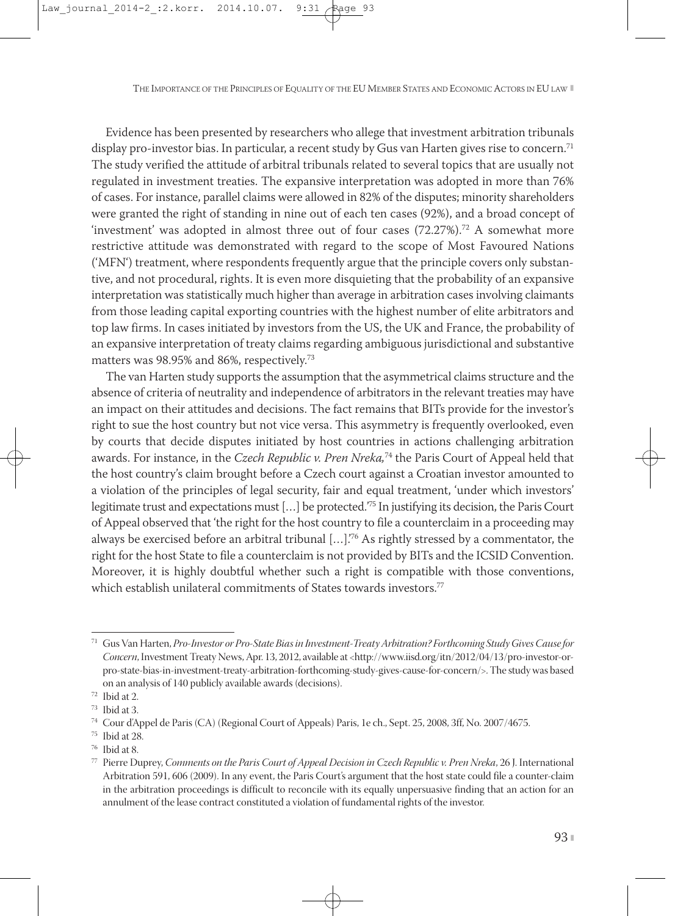Evidence has been presented by researchers who allege that investment arbitration tribunals display pro-investor bias. In particular, a recent study by Gus van Harten gives rise to concern.<sup>71</sup> The study verified the attitude of arbitral tribunals related to several topics that are usually not regulated in investment treaties. The expansive interpretation was adopted in more than 76% of cases. For instance, parallel claims were allowed in 82% of the disputes; minority shareholders were granted the right of standing in nine out of each ten cases (92%), and a broad concept of 'investment' was adopted in almost three out of four cases (72.27%).72 A somewhat more restrictive attitude was demonstrated with regard to the scope of Most Favoured Nations ('MFN') treatment, where respondents frequently argue that the principle covers only substantive, and not procedural, rights. It is even more disquieting that the probability of an expansive interpretation was statistically much higher than average in arbitration cases involving claimants from those leading capital exporting countries with the highest number of elite arbitrators and top law firms. In cases initiated by investors from the US, the UK and France, the probability of an expansive interpretation of treaty claims regarding ambiguous jurisdictional and substantive matters was 98.95% and 86%, respectively.73

The van Harten study supports the assumption that the asymmetrical claims structure and the absence of criteria of neutrality and independence of arbitrators in the relevant treaties may have an impact on their attitudes and decisions. The fact remains that BITs provide for the investor's right to sue the host country but not vice versa. This asymmetry is frequently overlooked, even by courts that decide disputes initiated by host countries in actions challenging arbitration awards. For instance, in the *Czech Republic v. Pren Nreka,*<sup>74</sup> the Paris Court of Appeal held that the host country's claim brought before a Czech court against a Croatian investor amounted to a violation of the principles of legal security, fair and equal treatment, 'under which investors' legitimate trust and expectations must […] be protected.'75 In justifying its decision, the Paris Court of Appeal observed that 'the right for the host country to file a counterclaim in a proceeding may always be exercised before an arbitral tribunal […].'76 As rightly stressed by a commentator, the right for the host State to file a counterclaim is not provided by BITs and the ICSID Convention. Moreover, it is highly doubtful whether such a right is compatible with those conventions, which establish unilateral commitments of States towards investors.<sup>77</sup>

<sup>71</sup> Gus Van Harten, *Pro-Investor or Pro-State Bias in Investment-Treaty Arbitration? Forthcoming Study Gives Cause for Concern*, Investment Treaty News, Apr. 13, 2012, available at <http://www.iisd.org/itn/2012/04/13/pro-investor-orpro-state-bias-in-investment-treaty-arbitration-forthcoming-study-gives-cause-for-concern/>. The study was based on an analysis of 140 publicly available awards (decisions).

 $72$  Ibid at 2.

<sup>73</sup> Ibid at 3.

<sup>74</sup> Cour d'Appel de Paris (CA) (Regional Court of Appeals) Paris, 1e ch., Sept. 25, 2008, 3ff, No. 2007/4675.

<sup>75</sup> Ibid at 28.

<sup>76</sup> Ibid at 8.

<sup>77</sup> Pierre Duprey, *Comments on the Paris Court of Appeal Decision in Czech Republic v. Pren Nreka*, 26 J. International Arbitration 591, 606 (2009). In any event, the Paris Court's argument that the host state could file a counter-claim in the arbitration proceedings is difficult to reconcile with its equally unpersuasive finding that an action for an annulment of the lease contract constituted a violation of fundamental rights of the investor.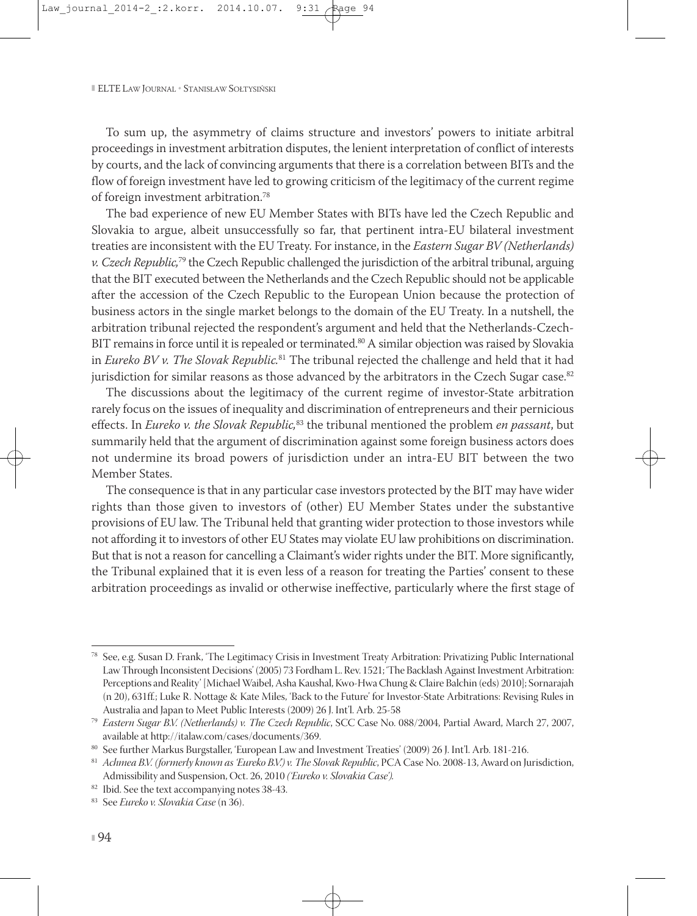To sum up, the asymmetry of claims structure and investors' powers to initiate arbitral proceedings in investment arbitration disputes, the lenient interpretation of conflict of interests by courts, and the lack of convincing arguments that there is a correlation between BITs and the flow of foreign investment have led to growing criticism of the legitimacy of the current regime of foreign investment arbitration.78

The bad experience of new EU Member States with BITs have led the Czech Republic and Slovakia to argue, albeit unsuccessfully so far, that pertinent intra-EU bilateral investment treaties are inconsistent with the EU Treaty. For instance, in the *Eastern Sugar BV (Netherlands) v. Czech Republic,*<sup>79</sup> the Czech Republic challenged the jurisdiction of the arbitral tribunal, arguing that the BIT executed between the Netherlands and the Czech Republic should not be applicable after the accession of the Czech Republic to the European Union because the protection of business actors in the single market belongs to the domain of the EU Treaty. In a nutshell, the arbitration tribunal rejected the respondent's argument and held that the Netherlands-Czech-BIT remains in force until it is repealed or terminated.80 A similar objection was raised by Slovakia in *Eureko BV v. The Slovak Republic.*<sup>81</sup> The tribunal rejected the challenge and held that it had jurisdiction for similar reasons as those advanced by the arbitrators in the Czech Sugar case. $82$ 

The discussions about the legitimacy of the current regime of investor-State arbitration rarely focus on the issues of inequality and discrimination of entrepreneurs and their pernicious effects. In *Eureko v. the Slovak Republic,*<sup>83</sup> the tribunal mentioned the problem *en passant*, but summarily held that the argument of discrimination against some foreign business actors does not undermine its broad powers of jurisdiction under an intra-EU BIT between the two Member States.

The consequence is that in any particular case investors protected by the BIT may have wider rights than those given to investors of (other) EU Member States under the substantive provisions of EU law. The Tribunal held that granting wider protection to those investors while not affording it to investors of other EU States may violate EU law prohibitions on discrimination. But that is not a reason for cancelling a Claimant's wider rights under the BIT. More significantly, the Tribunal explained that it is even less of a reason for treating the Parties' consent to these arbitration proceedings as invalid or otherwise ineffective, particularly where the first stage of

<sup>78</sup> See, e.g. Susan D. Frank, 'The Legitimacy Crisis in Investment Treaty Arbitration: Privatizing Public International Law Through Inconsistent Decisions' (2005) 73 Fordham L. Rev. 1521; 'The Backlash Against Investment Arbitration: Perceptions and Reality' [Michael Waibel, Asha Kaushal, Kwo-Hwa Chung & Claire Balchin (eds) 2010]; Sornarajah (n 20), 631ff*.*; Luke R. Nottage & Kate Miles, 'Back to the Future' for Investor-State Arbitrations: Revising Rules in Australia and Japan to Meet Public Interests (2009) 26 J. Int'l. Arb. 25-58

<sup>79</sup> *Eastern Sugar B.V. (Netherlands) v. The Czech Republic*, SCC Case No. 088/2004, Partial Award, March 27, 2007, available at http://italaw.com/cases/documents/369.

<sup>80</sup> See further Markus Burgstaller, 'European Law and Investment Treaties' (2009) 26 J. Int'l. Arb. 181-216.

<sup>81</sup> *Achmea B.V. (formerly known as 'Eureko B.V.) v. The Slovak Republic*, PCA Case No. 2008-13, Award on Jurisdiction, Admissibility and Suspension, Oct. 26, 2010 *('Eureko v. Slovakia Case').*

<sup>82</sup> Ibid. See the text accompanying notes 38-43.

<sup>83</sup> See *Eureko v. Slovakia Case* (n 36).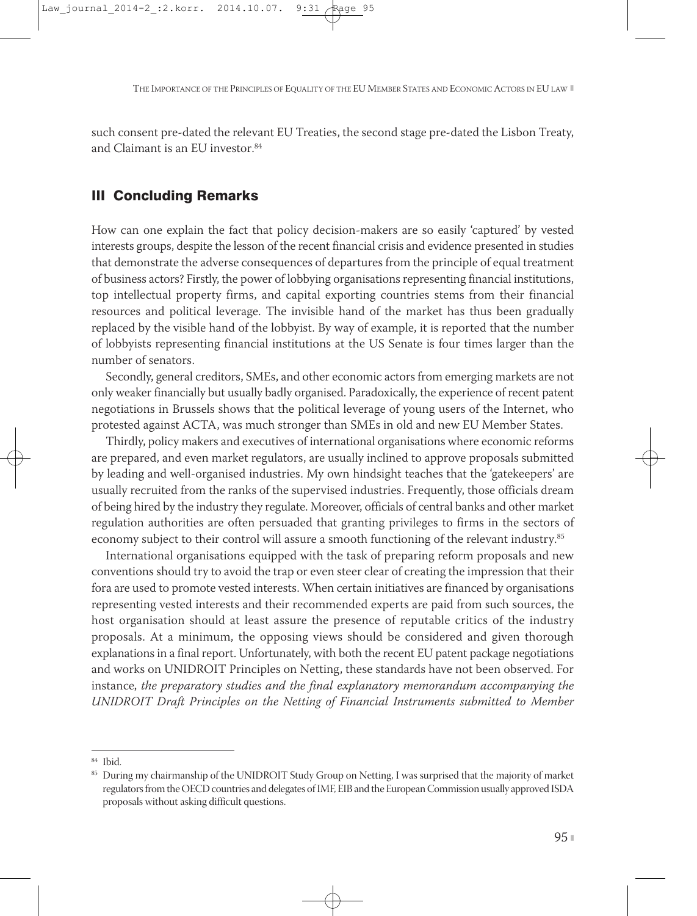such consent pre-dated the relevant EU Treaties, the second stage pre-dated the Lisbon Treaty, and Claimant is an EU investor.<sup>84</sup>

# III Concluding Remarks

How can one explain the fact that policy decision-makers are so easily 'captured' by vested interests groups, despite the lesson of the recent financial crisis and evidence presented in studies that demonstrate the adverse consequences of departures from the principle of equal treatment of business actors? Firstly, the power of lobbying organisations representing financial institutions, top intellectual property firms, and capital exporting countries stems from their financial resources and political leverage. The invisible hand of the market has thus been gradually replaced by the visible hand of the lobbyist. By way of example, it is reported that the number of lobbyists representing financial institutions at the US Senate is four times larger than the number of senators.

Secondly, general creditors, SMEs, and other economic actors from emerging markets are not only weaker financially but usually badly organised. Paradoxically, the experience of recent patent negotiations in Brussels shows that the political leverage of young users of the Internet, who protested against ACTA, was much stronger than SMEs in old and new EU Member States.

Thirdly, policy makers and executives of international organisations where economic reforms are prepared, and even market regulators, are usually inclined to approve proposals submitted by leading and well-organised industries. My own hindsight teaches that the 'gatekeepers' are usually recruited from the ranks of the supervised industries. Frequently, those officials dream of being hired by the industry they regulate. Moreover, officials of central banks and other market regulation authorities are often persuaded that granting privileges to firms in the sectors of economy subject to their control will assure a smooth functioning of the relevant industry.<sup>85</sup>

International organisations equipped with the task of preparing reform proposals and new conventions should try to avoid the trap or even steer clear of creating the impression that their fora are used to promote vested interests. When certain initiatives are financed by organisations representing vested interests and their recommended experts are paid from such sources, the host organisation should at least assure the presence of reputable critics of the industry proposals. At a minimum, the opposing views should be considered and given thorough explanations in a final report. Unfortunately, with both the recent EU patent package negotiations and works on UNIDROIT Principles on Netting, these standards have not been observed. For instance, *the preparatory studies and the final explanatory memorandum accompanying the UNIDROIT Draft Principles on the Netting of Financial Instruments submitted to Member*

<sup>84</sup> Ibid.

<sup>85</sup> During my chairmanship of the UNIDROIT Study Group on Netting, I was surprised that the majority of market regulators from the OECD countries and delegates of IMF, EIB and the European Commission usually approved ISDA proposals without asking difficult questions.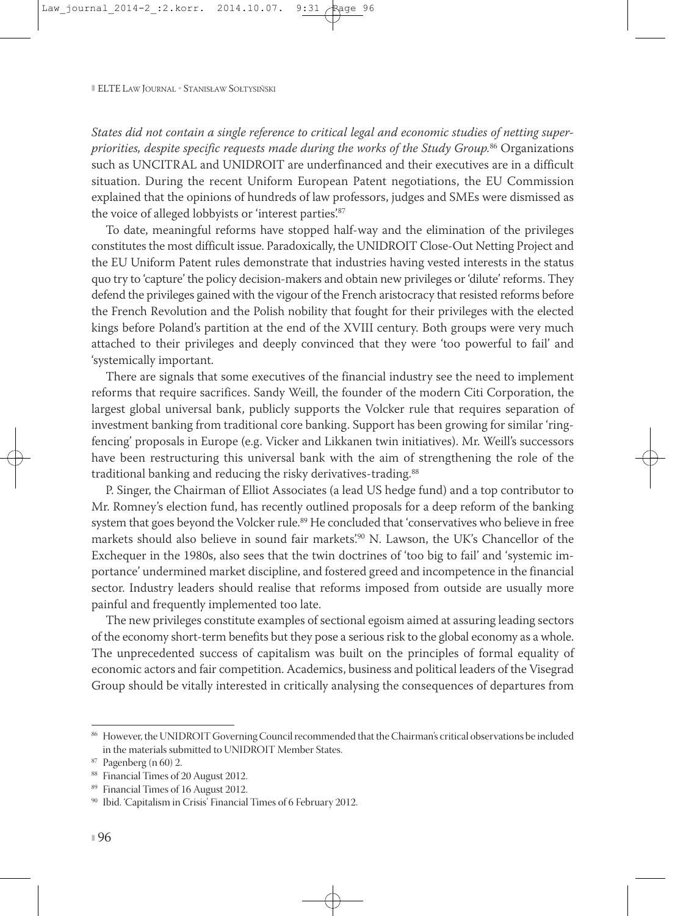*States did not contain a single reference to critical legal and economic studies of netting super priorities, despite specific requests made during the works of the Study Group.*<sup>86</sup> Organizations such as UNCITRAL and UNIDROIT are underfinanced and their executives are in a difficult situation. During the recent Uniform European Patent negotiations, the EU Commission explained that the opinions of hundreds of law professors, judges and SMEs were dismissed as the voice of alleged lobbyists or 'interest parties'.<sup>87</sup>

To date, meaningful reforms have stopped half-way and the elimination of the privileges constitutes the most difficult issue. Paradoxically, the UNIDROIT Close-Out Netting Project and the EU Uniform Patent rules demonstrate that industries having vested interests in the status quo try to 'capture' the policy decision-makers and obtain new privileges or 'dilute' reforms. They defend the privileges gained with the vigour of the French aristocracy that resisted reforms before the French Revolution and the Polish nobility that fought for their privileges with the elected kings before Poland's partition at the end of the XVIII century. Both groups were very much attached to their privileges and deeply convinced that they were 'too powerful to fail' and 'systemically important.

There are signals that some executives of the financial industry see the need to implement reforms that require sacrifices. Sandy Weill, the founder of the modern Citi Corporation, the largest global universal bank, publicly supports the Volcker rule that requires separation of investment banking from traditional core banking. Support has been growing for similar 'ringfencing' proposals in Europe (e.g. Vicker and Likkanen twin initiatives). Mr. Weill's successors have been restructuring this universal bank with the aim of strengthening the role of the traditional banking and reducing the risky derivatives-trading.88

P. Singer, the Chairman of Elliot Associates (a lead US hedge fund) and a top contributor to Mr. Romney's election fund, has recently outlined proposals for a deep reform of the banking system that goes beyond the Volcker rule.<sup>89</sup> He concluded that 'conservatives who believe in free markets should also believe in sound fair markets.<sup>90</sup> N. Lawson, the UK's Chancellor of the Exchequer in the 1980s, also sees that the twin doctrines of 'too big to fail' and 'systemic importance' undermined market discipline, and fostered greed and incompetence in the financial sector. Industry leaders should realise that reforms imposed from outside are usually more painful and frequently implemented too late.

The new privileges constitute examples of sectional egoism aimed at assuring leading sectors of the economy short-term benefits but they pose a serious risk to the global economy as a whole. The unprecedented success of capitalism was built on the principles of formal equality of economic actors and fair competition. Academics, business and political leaders of the Visegrad Group should be vitally interested in critically analysing the consequences of departures from

<sup>86</sup> However, the UNIDROIT Governing Council recommended that the Chairman's critical observations be included in the materials submitted to UNIDROIT Member States.

 $87$  Pagenberg (n 60) 2.

<sup>88</sup> Financial Times of 20 August 2012.

<sup>89</sup> Financial Times of 16 August 2012.

<sup>90</sup> Ibid. 'Capitalism in Crisis' Financial Times of 6 February 2012.